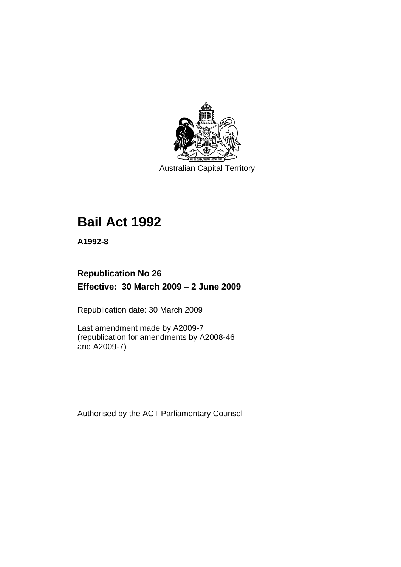

Australian Capital Territory

# **[Bail Act 1992](#page-6-0)**

**A1992-8** 

# **Republication No 26 Effective: 30 March 2009 – 2 June 2009**

Republication date: 30 March 2009

Last amendment made by A2009-7 (republication for amendments by A2008-46 and A2009-7)

Authorised by the ACT Parliamentary Counsel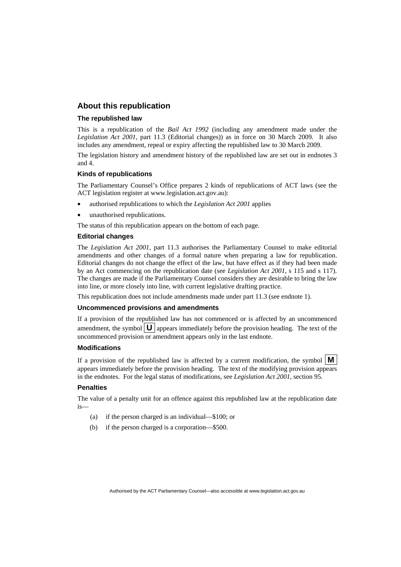#### **About this republication**

#### **The republished law**

This is a republication of the *Bail Act 1992* (including any amendment made under the *Legislation Act 2001*, part 11.3 (Editorial changes)) as in force on 30 March 2009*.* It also includes any amendment, repeal or expiry affecting the republished law to 30 March 2009.

The legislation history and amendment history of the republished law are set out in endnotes 3 and 4.

#### **Kinds of republications**

The Parliamentary Counsel's Office prepares 2 kinds of republications of ACT laws (see the ACT legislation register at www.legislation.act.gov.au):

- authorised republications to which the *Legislation Act 2001* applies
- unauthorised republications.

The status of this republication appears on the bottom of each page.

#### **Editorial changes**

The *Legislation Act 2001*, part 11.3 authorises the Parliamentary Counsel to make editorial amendments and other changes of a formal nature when preparing a law for republication. Editorial changes do not change the effect of the law, but have effect as if they had been made by an Act commencing on the republication date (see *Legislation Act 2001*, s 115 and s 117). The changes are made if the Parliamentary Counsel considers they are desirable to bring the law into line, or more closely into line, with current legislative drafting practice.

This republication does not include amendments made under part 11.3 (see endnote 1).

#### **Uncommenced provisions and amendments**

If a provision of the republished law has not commenced or is affected by an uncommenced amendment, the symbol  $\mathbf{U}$  appears immediately before the provision heading. The text of the uncommenced provision or amendment appears only in the last endnote.

#### **Modifications**

If a provision of the republished law is affected by a current modification, the symbol  $\mathbf{M}$ appears immediately before the provision heading. The text of the modifying provision appears in the endnotes. For the legal status of modifications, see *Legislation Act 2001*, section 95.

#### **Penalties**

The value of a penalty unit for an offence against this republished law at the republication date is—

- (a) if the person charged is an individual—\$100; or
- (b) if the person charged is a corporation—\$500.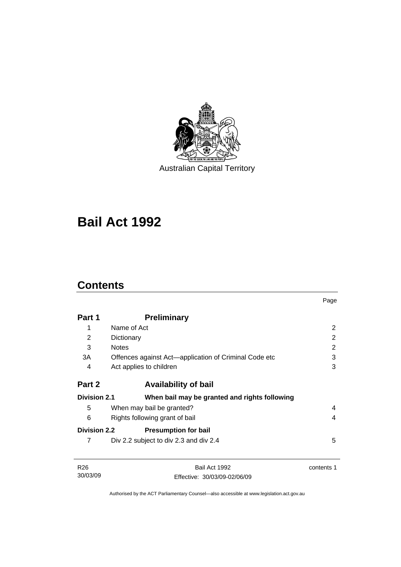

Australian Capital Territory

# **[Bail Act 1992](#page-6-0)**

# **Contents**

30/03/09

|                     |                                                       | Page           |
|---------------------|-------------------------------------------------------|----------------|
| Part 1              | <b>Preliminary</b>                                    |                |
| 1                   | Name of Act                                           | 2              |
| 2                   | Dictionary                                            | $\overline{2}$ |
| 3                   | <b>Notes</b>                                          | 2              |
| 3A                  | Offences against Act—application of Criminal Code etc | 3              |
| 4                   | Act applies to children                               | 3              |
| Part 2              | <b>Availability of bail</b>                           |                |
| <b>Division 2.1</b> | When bail may be granted and rights following         |                |
| 5                   | When may bail be granted?                             | 4              |
| 6                   | Rights following grant of bail                        | 4              |
| <b>Division 2.2</b> | <b>Presumption for bail</b>                           |                |
| 7                   | Div 2.2 subject to div 2.3 and div 2.4                | 5              |
| R <sub>26</sub>     | Bail Act 1992                                         | contents 1     |

Authorised by the ACT Parliamentary Counsel—also accessible at www.legislation.act.gov.au

Effective: 30/03/09-02/06/09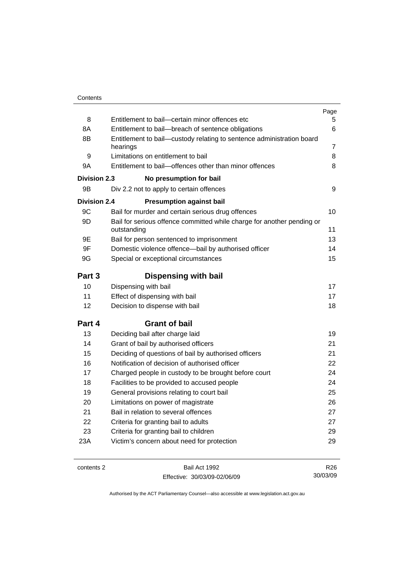|                     |                                                                                       | Page            |
|---------------------|---------------------------------------------------------------------------------------|-----------------|
| 8                   | Entitlement to bail-certain minor offences etc                                        | 5               |
| 8A                  | Entitlement to bail-breach of sentence obligations                                    | 6               |
| 8B                  | Entitlement to bail-custody relating to sentence administration board                 |                 |
|                     | hearings                                                                              | 7               |
| 9                   | Limitations on entitlement to bail                                                    | 8               |
| 9A                  | Entitlement to bail-offences other than minor offences                                | 8               |
| Division 2.3        | No presumption for bail                                                               |                 |
| 9B                  | Div 2.2 not to apply to certain offences                                              | 9               |
| <b>Division 2.4</b> | <b>Presumption against bail</b>                                                       |                 |
| 9C                  | Bail for murder and certain serious drug offences                                     | 10              |
| 9D                  | Bail for serious offence committed while charge for another pending or<br>outstanding | 11              |
| 9E                  | Bail for person sentenced to imprisonment                                             | 13              |
| 9F                  | Domestic violence offence—bail by authorised officer                                  | 14              |
| 9G                  | Special or exceptional circumstances                                                  | 15              |
| Part 3              | <b>Dispensing with bail</b>                                                           |                 |
| 10                  | Dispensing with bail                                                                  | 17              |
| 11                  | Effect of dispensing with bail                                                        | 17              |
| 12                  | Decision to dispense with bail                                                        | 18              |
| Part 4              | <b>Grant of bail</b>                                                                  |                 |
| 13                  | Deciding bail after charge laid                                                       | 19              |
| 14                  | Grant of bail by authorised officers                                                  | 21              |
| 15                  | Deciding of questions of bail by authorised officers                                  | 21              |
| 16                  | Notification of decision of authorised officer                                        | 22              |
| 17                  | Charged people in custody to be brought before court                                  | 24              |
| 18                  | Facilities to be provided to accused people                                           | 24              |
| 19                  | General provisions relating to court bail                                             | 25              |
| 20                  | Limitations on power of magistrate                                                    | 26              |
| 21                  | Bail in relation to several offences                                                  | 27              |
| 22                  | Criteria for granting bail to adults                                                  | 27              |
| 23                  | Criteria for granting bail to children                                                | 29              |
| 23A                 | Victim's concern about need for protection                                            | 29              |
|                     |                                                                                       |                 |
| contents 2          | Bail Act 1992                                                                         | R <sub>26</sub> |

Effective: 30/03/09-02/06/09

R26 30/03/09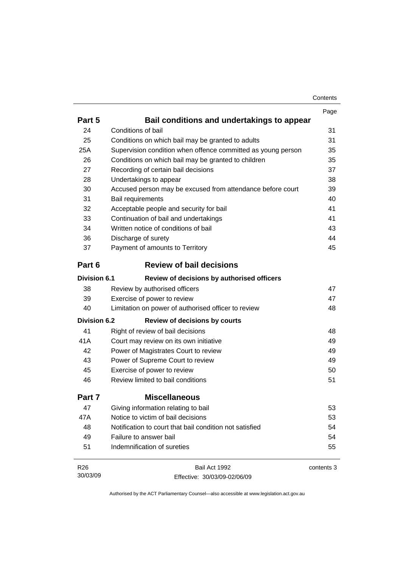| Contents |
|----------|
|----------|

|                     |                                                              | Page       |
|---------------------|--------------------------------------------------------------|------------|
| Part 5              | Bail conditions and undertakings to appear                   |            |
| 24                  | Conditions of bail                                           | 31         |
| 25                  | Conditions on which bail may be granted to adults            | 31         |
| 25A                 | Supervision condition when offence committed as young person | 35         |
| 26                  | Conditions on which bail may be granted to children          | 35         |
| 27                  | Recording of certain bail decisions                          | 37         |
| 28                  | Undertakings to appear                                       | 38         |
| 30                  | Accused person may be excused from attendance before court   | 39         |
| 31                  | <b>Bail requirements</b>                                     | 40         |
| 32                  | Acceptable people and security for bail                      | 41         |
| 33                  | Continuation of bail and undertakings                        | 41         |
| 34                  | Written notice of conditions of bail                         | 43         |
| 36                  | Discharge of surety                                          | 44         |
| 37                  | Payment of amounts to Territory                              | 45         |
| Part 6              | <b>Review of bail decisions</b>                              |            |
| <b>Division 6.1</b> | Review of decisions by authorised officers                   |            |
| 38                  | Review by authorised officers                                | 47         |
| 39                  | Exercise of power to review                                  | 47         |
| 40                  | Limitation on power of authorised officer to review          | 48         |
| <b>Division 6.2</b> | <b>Review of decisions by courts</b>                         |            |
| 41                  | Right of review of bail decisions                            | 48         |
| 41A                 | Court may review on its own initiative                       | 49         |
| 42                  | Power of Magistrates Court to review                         | 49         |
| 43                  | Power of Supreme Court to review                             | 49         |
| 45                  | Exercise of power to review                                  | 50         |
| 46                  | Review limited to bail conditions                            | 51         |
| Part 7              | <b>Miscellaneous</b>                                         |            |
| 47                  | Giving information relating to bail                          | 53         |
| 47A                 | Notice to victim of bail decisions                           | 53         |
| 48                  | Notification to court that bail condition not satisfied      | 54         |
| 49                  | Failure to answer bail                                       | 54         |
| 51                  | Indemnification of sureties                                  | 55         |
| R26                 | Bail Act 1992                                                | contents 3 |
| 30/03/09            | Effective: 30/03/09-02/06/09                                 |            |

Effective: 30/03/09-02/06/09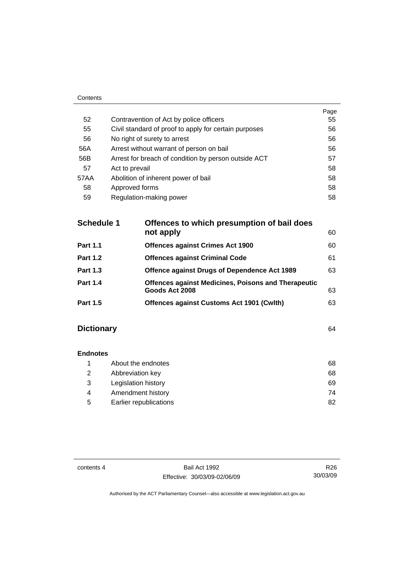|                                                       | Page |
|-------------------------------------------------------|------|
| Contravention of Act by police officers               | 55   |
| Civil standard of proof to apply for certain purposes | 56   |
| No right of surety to arrest                          | 56   |
| Arrest without warrant of person on bail              | 56   |
| Arrest for breach of condition by person outside ACT  | 57   |
| Act to prevail                                        | 58   |
| Abolition of inherent power of bail                   | 58   |
| Approved forms                                        | 58   |
| Regulation-making power                               | 58   |
|                                                       |      |

| <b>Schedule 1</b> | Offences to which presumption of bail does<br>not apply                      | 60 |
|-------------------|------------------------------------------------------------------------------|----|
| <b>Part 1.1</b>   | <b>Offences against Crimes Act 1900</b>                                      | 60 |
| <b>Part 1.2</b>   | <b>Offences against Criminal Code</b>                                        | 61 |
| <b>Part 1.3</b>   | <b>Offence against Drugs of Dependence Act 1989</b>                          | 63 |
| <b>Part 1.4</b>   | <b>Offences against Medicines, Poisons and Therapeutic</b><br>Goods Act 2008 | 63 |
| <b>Part 1.5</b>   | Offences against Customs Act 1901 (Cwlth)                                    | 63 |
|                   |                                                                              |    |

# **Dictionary** [64](#page-69-0)

Contents

| <b>Endnotes</b> |                        |    |
|-----------------|------------------------|----|
|                 | About the endnotes     | 68 |
| 2               | Abbreviation key       | 68 |
| 3               | Legislation history    | 69 |
| 4               | Amendment history      | 74 |
| 5               | Earlier republications | 82 |

contents 4 Bail Act 1992 Effective: 30/03/09-02/06/09

R26 30/03/09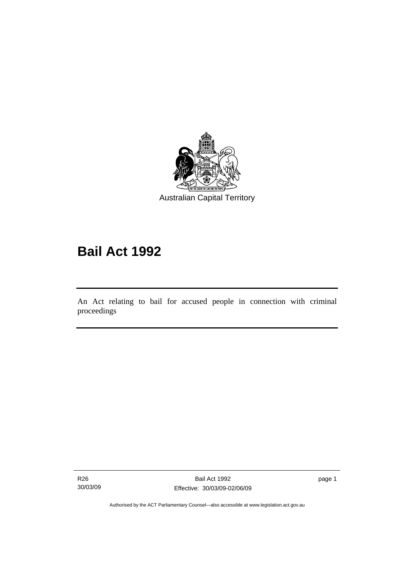<span id="page-6-0"></span>

# **Bail Act 1992**

An Act relating to bail for accused people in connection with criminal proceedings

R26 30/03/09

l

page 1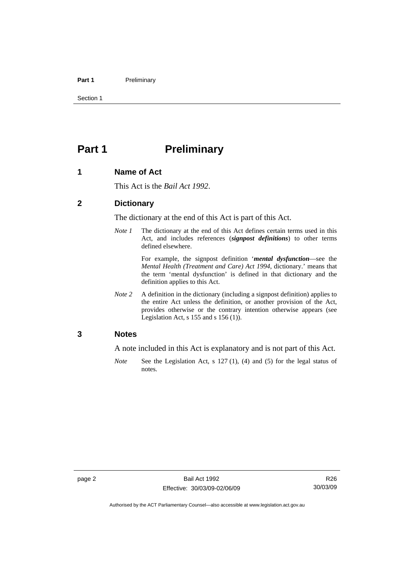#### <span id="page-7-0"></span>Part 1 **Preliminary**

Section 1

# **Part 1** Preliminary

#### **1 Name of Act**

This Act is the *Bail Act 1992*.

#### **2 Dictionary**

The dictionary at the end of this Act is part of this Act.

*Note 1* The dictionary at the end of this Act defines certain terms used in this Act, and includes references (*signpost definitions*) to other terms defined elsewhere.

> For example, the signpost definition '*mental dysfunction*—see the *Mental Health (Treatment and Care) Act 1994*, dictionary.' means that the term 'mental dysfunction' is defined in that dictionary and the definition applies to this Act.

*Note* 2 A definition in the dictionary (including a signpost definition) applies to the entire Act unless the definition, or another provision of the Act, provides otherwise or the contrary intention otherwise appears (see Legislation Act, s  $155$  and s  $156$  (1)).

#### **3 Notes**

A note included in this Act is explanatory and is not part of this Act.

*Note* See the Legislation Act, s 127 (1), (4) and (5) for the legal status of notes.

R26 30/03/09

Authorised by the ACT Parliamentary Counsel—also accessible at www.legislation.act.gov.au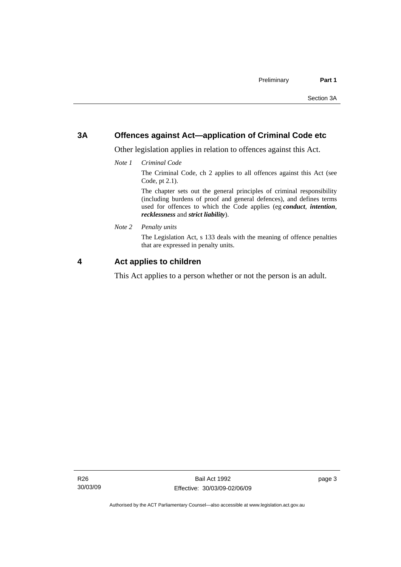#### <span id="page-8-0"></span>**3A Offences against Act—application of Criminal Code etc**

Other legislation applies in relation to offences against this Act.

*Note 1 Criminal Code*

The Criminal Code, ch 2 applies to all offences against this Act (see Code, pt 2.1).

The chapter sets out the general principles of criminal responsibility (including burdens of proof and general defences), and defines terms used for offences to which the Code applies (eg *conduct*, *intention*, *recklessness* and *strict liability*).

*Note 2 Penalty units* 

The Legislation Act, s 133 deals with the meaning of offence penalties that are expressed in penalty units.

#### **4 Act applies to children**

This Act applies to a person whether or not the person is an adult.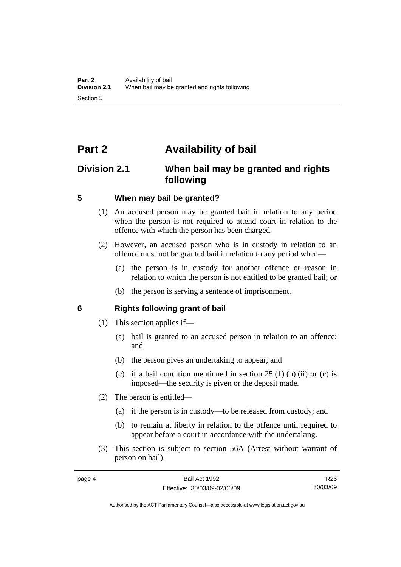# <span id="page-9-0"></span>**Part 2 Availability of bail**

## **Division 2.1 When bail may be granted and rights following**

#### **5 When may bail be granted?**

- (1) An accused person may be granted bail in relation to any period when the person is not required to attend court in relation to the offence with which the person has been charged.
- (2) However, an accused person who is in custody in relation to an offence must not be granted bail in relation to any period when—
	- (a) the person is in custody for another offence or reason in relation to which the person is not entitled to be granted bail; or
	- (b) the person is serving a sentence of imprisonment.

#### **6 Rights following grant of bail**

- (1) This section applies if—
	- (a) bail is granted to an accused person in relation to an offence; and
	- (b) the person gives an undertaking to appear; and
	- (c) if a bail condition mentioned in section  $25(1)$  (b) (ii) or (c) is imposed—the security is given or the deposit made.
- (2) The person is entitled—
	- (a) if the person is in custody—to be released from custody; and
	- (b) to remain at liberty in relation to the offence until required to appear before a court in accordance with the undertaking.
- (3) This section is subject to section 56A (Arrest without warrant of person on bail).

R26 30/03/09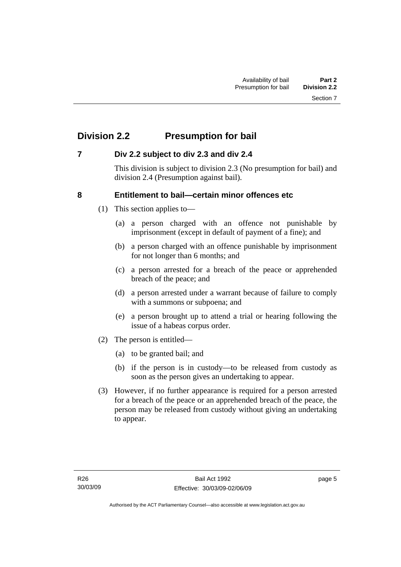# <span id="page-10-0"></span>**Division 2.2 Presumption for bail**

#### **7 Div 2.2 subject to div 2.3 and div 2.4**

This division is subject to division 2.3 (No presumption for bail) and division 2.4 (Presumption against bail).

#### **8 Entitlement to bail—certain minor offences etc**

- (1) This section applies to—
	- (a) a person charged with an offence not punishable by imprisonment (except in default of payment of a fine); and
	- (b) a person charged with an offence punishable by imprisonment for not longer than 6 months; and
	- (c) a person arrested for a breach of the peace or apprehended breach of the peace; and
	- (d) a person arrested under a warrant because of failure to comply with a summons or subpoena; and
	- (e) a person brought up to attend a trial or hearing following the issue of a habeas corpus order.
- (2) The person is entitled—
	- (a) to be granted bail; and
	- (b) if the person is in custody—to be released from custody as soon as the person gives an undertaking to appear.
- (3) However, if no further appearance is required for a person arrested for a breach of the peace or an apprehended breach of the peace, the person may be released from custody without giving an undertaking to appear.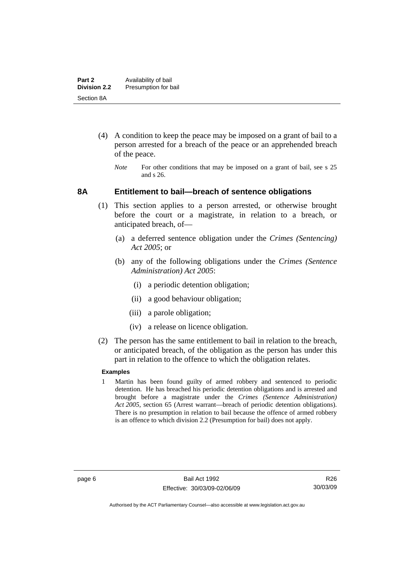- <span id="page-11-0"></span> (4) A condition to keep the peace may be imposed on a grant of bail to a person arrested for a breach of the peace or an apprehended breach of the peace.
	- *Note* For other conditions that may be imposed on a grant of bail, see s 25 and s 26.

#### **8A Entitlement to bail—breach of sentence obligations**

- (1) This section applies to a person arrested, or otherwise brought before the court or a magistrate, in relation to a breach, or anticipated breach, of—
	- (a) a deferred sentence obligation under the *Crimes (Sentencing) Act 2005*; or
	- (b) any of the following obligations under the *Crimes (Sentence Administration) Act 2005*:
		- (i) a periodic detention obligation;
		- (ii) a good behaviour obligation;
		- (iii) a parole obligation;
		- (iv) a release on licence obligation.
- (2) The person has the same entitlement to bail in relation to the breach, or anticipated breach, of the obligation as the person has under this part in relation to the offence to which the obligation relates.

#### **Examples**

1 Martin has been found guilty of armed robbery and sentenced to periodic detention. He has breached his periodic detention obligations and is arrested and brought before a magistrate under the *Crimes (Sentence Administration) Act 2005*, section 65 (Arrest warrant—breach of periodic detention obligations). There is no presumption in relation to bail because the offence of armed robbery is an offence to which division 2.2 (Presumption for bail) does not apply.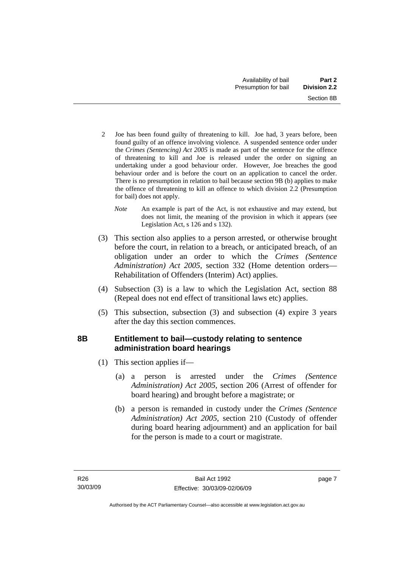- <span id="page-12-0"></span>2 Joe has been found guilty of threatening to kill. Joe had, 3 years before, been found guilty of an offence involving violence. A suspended sentence order under the *Crimes (Sentencing) Act 2005* is made as part of the sentence for the offence of threatening to kill and Joe is released under the order on signing an undertaking under a good behaviour order. However, Joe breaches the good behaviour order and is before the court on an application to cancel the order. There is no presumption in relation to bail because section 9B (b) applies to make the offence of threatening to kill an offence to which division 2.2 (Presumption for bail) does not apply.
	- *Note* An example is part of the Act, is not exhaustive and may extend, but does not limit, the meaning of the provision in which it appears (see Legislation Act, s 126 and s 132).
- (3) This section also applies to a person arrested, or otherwise brought before the court, in relation to a breach, or anticipated breach, of an obligation under an order to which the *Crimes (Sentence Administration) Act 2005*, section 332 (Home detention orders— Rehabilitation of Offenders (Interim) Act) applies.
- (4) Subsection (3) is a law to which the Legislation Act, section 88 (Repeal does not end effect of transitional laws etc) applies.
- (5) This subsection, subsection (3) and subsection (4) expire 3 years after the day this section commences.

### **8B Entitlement to bail—custody relating to sentence administration board hearings**

- (1) This section applies if—
	- (a) a person is arrested under the *Crimes (Sentence Administration) Act 2005*, section 206 (Arrest of offender for board hearing) and brought before a magistrate; or
	- (b) a person is remanded in custody under the *Crimes (Sentence Administration) Act 2005*, section 210 (Custody of offender during board hearing adjournment) and an application for bail for the person is made to a court or magistrate.

page 7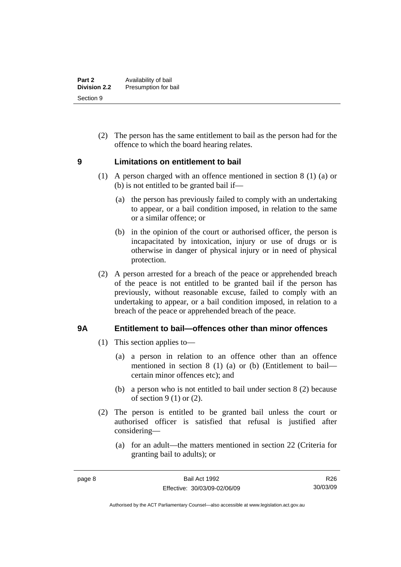<span id="page-13-0"></span> (2) The person has the same entitlement to bail as the person had for the offence to which the board hearing relates.

#### **9 Limitations on entitlement to bail**

- (1) A person charged with an offence mentioned in section 8 (1) (a) or (b) is not entitled to be granted bail if—
	- (a) the person has previously failed to comply with an undertaking to appear, or a bail condition imposed, in relation to the same or a similar offence; or
	- (b) in the opinion of the court or authorised officer, the person is incapacitated by intoxication, injury or use of drugs or is otherwise in danger of physical injury or in need of physical protection.
- (2) A person arrested for a breach of the peace or apprehended breach of the peace is not entitled to be granted bail if the person has previously, without reasonable excuse, failed to comply with an undertaking to appear, or a bail condition imposed, in relation to a breach of the peace or apprehended breach of the peace.

#### **9A Entitlement to bail—offences other than minor offences**

- (1) This section applies to—
	- (a) a person in relation to an offence other than an offence mentioned in section 8 (1) (a) or (b) (Entitlement to bail certain minor offences etc); and
	- (b) a person who is not entitled to bail under section 8 (2) because of section  $9(1)$  or  $(2)$ .
- (2) The person is entitled to be granted bail unless the court or authorised officer is satisfied that refusal is justified after considering—
	- (a) for an adult—the matters mentioned in section 22 (Criteria for granting bail to adults); or

R26 30/03/09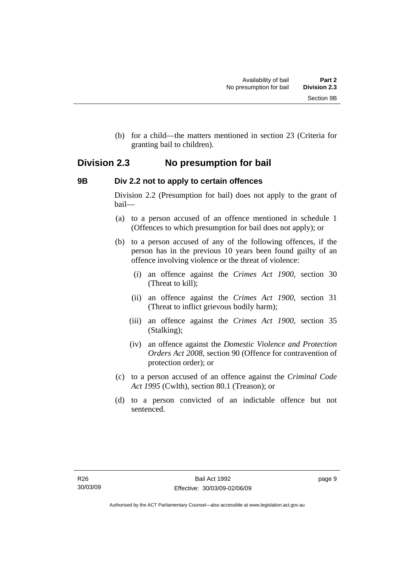<span id="page-14-0"></span> (b) for a child—the matters mentioned in section 23 (Criteria for granting bail to children).

## **Division 2.3 No presumption for bail**

#### **9B Div 2.2 not to apply to certain offences**

Division 2.2 (Presumption for bail) does not apply to the grant of bail—

- (a) to a person accused of an offence mentioned in schedule 1 (Offences to which presumption for bail does not apply); or
- (b) to a person accused of any of the following offences, if the person has in the previous 10 years been found guilty of an offence involving violence or the threat of violence:
	- (i) an offence against the *Crimes Act 1900*, section 30 (Threat to kill);
	- (ii) an offence against the *Crimes Act 1900*, section 31 (Threat to inflict grievous bodily harm);
	- (iii) an offence against the *Crimes Act 1900*, section 35 (Stalking);
	- (iv) an offence against the *Domestic Violence and Protection Orders Act 2008*, section 90 (Offence for contravention of protection order); or
- (c) to a person accused of an offence against the *Criminal Code Act 1995* (Cwlth), section 80.1 (Treason); or
- (d) to a person convicted of an indictable offence but not sentenced.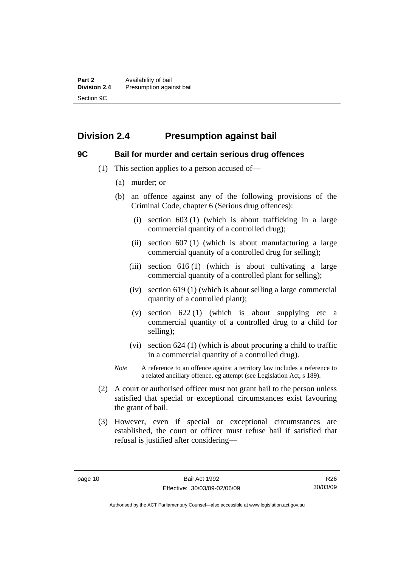# <span id="page-15-0"></span>**Division 2.4 Presumption against bail**

#### **9C Bail for murder and certain serious drug offences**

- (1) This section applies to a person accused of—
	- (a) murder; or
	- (b) an offence against any of the following provisions of the Criminal Code, chapter 6 (Serious drug offences):
		- (i) section 603 (1) (which is about trafficking in a large commercial quantity of a controlled drug);
		- (ii) section  $607(1)$  (which is about manufacturing a large commercial quantity of a controlled drug for selling);
		- (iii) section  $616(1)$  (which is about cultivating a large commercial quantity of a controlled plant for selling);
		- (iv) section 619 (1) (which is about selling a large commercial quantity of a controlled plant);
		- (v) section  $622(1)$  (which is about supplying etc a commercial quantity of a controlled drug to a child for selling);
		- (vi) section 624 (1) (which is about procuring a child to traffic in a commercial quantity of a controlled drug).
	- *Note* A reference to an offence against a territory law includes a reference to a related ancillary offence, eg attempt (see Legislation Act, s 189).
- (2) A court or authorised officer must not grant bail to the person unless satisfied that special or exceptional circumstances exist favouring the grant of bail.
- (3) However, even if special or exceptional circumstances are established, the court or officer must refuse bail if satisfied that refusal is justified after considering—

R26 30/03/09

Authorised by the ACT Parliamentary Counsel—also accessible at www.legislation.act.gov.au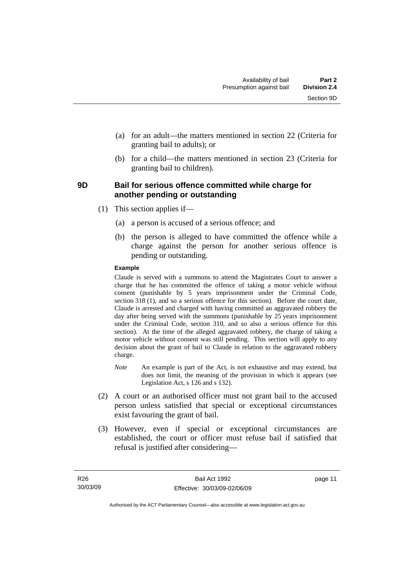- <span id="page-16-0"></span> (a) for an adult—the matters mentioned in section 22 (Criteria for granting bail to adults); or
- (b) for a child—the matters mentioned in section 23 (Criteria for granting bail to children).

#### **9D Bail for serious offence committed while charge for another pending or outstanding**

- (1) This section applies if—
	- (a) a person is accused of a serious offence; and
	- (b) the person is alleged to have committed the offence while a charge against the person for another serious offence is pending or outstanding.

#### **Example**

Claude is served with a summons to attend the Magistrates Court to answer a charge that he has committed the offence of taking a motor vehicle without consent (punishable by 5 years imprisonment under the Criminal Code, section 318 (1), and so a serious offence for this section). Before the court date, Claude is arrested and charged with having committed an aggravated robbery the day after being served with the summons (punishable by 25 years imprisonment under the Criminal Code, section 310, and so also a serious offence for this section). At the time of the alleged aggravated robbery, the charge of taking a motor vehicle without consent was still pending. This section will apply to any decision about the grant of bail to Claude in relation to the aggravated robbery charge.

- *Note* An example is part of the Act, is not exhaustive and may extend, but does not limit, the meaning of the provision in which it appears (see Legislation Act, s 126 and s 132).
- (2) A court or an authorised officer must not grant bail to the accused person unless satisfied that special or exceptional circumstances exist favouring the grant of bail.
- (3) However, even if special or exceptional circumstances are established, the court or officer must refuse bail if satisfied that refusal is justified after considering—

page 11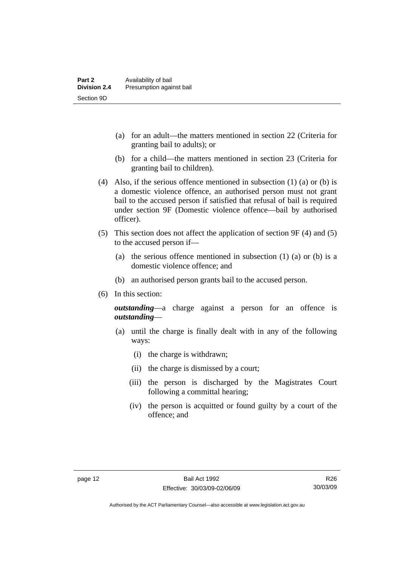- (a) for an adult—the matters mentioned in section 22 (Criteria for granting bail to adults); or
- (b) for a child—the matters mentioned in section 23 (Criteria for granting bail to children).
- (4) Also, if the serious offence mentioned in subsection (1) (a) or (b) is a domestic violence offence, an authorised person must not grant bail to the accused person if satisfied that refusal of bail is required under section 9F (Domestic violence offence—bail by authorised officer).
- (5) This section does not affect the application of section 9F (4) and (5) to the accused person if—
	- (a) the serious offence mentioned in subsection (1) (a) or (b) is a domestic violence offence; and
	- (b) an authorised person grants bail to the accused person.
- (6) In this section:

*outstanding*—a charge against a person for an offence is *outstanding*—

- (a) until the charge is finally dealt with in any of the following ways:
	- (i) the charge is withdrawn;
	- (ii) the charge is dismissed by a court;
	- (iii) the person is discharged by the Magistrates Court following a committal hearing;
	- (iv) the person is acquitted or found guilty by a court of the offence; and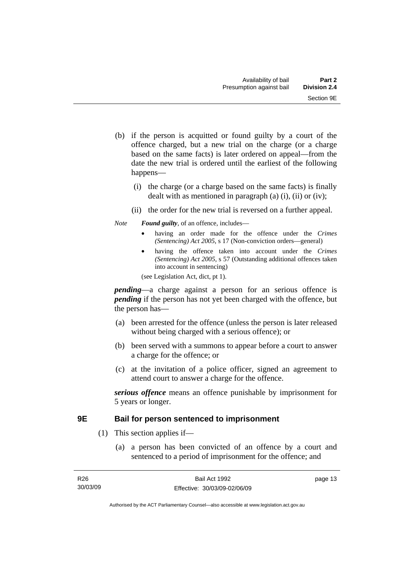- <span id="page-18-0"></span> (b) if the person is acquitted or found guilty by a court of the offence charged, but a new trial on the charge (or a charge based on the same facts) is later ordered on appeal—from the date the new trial is ordered until the earliest of the following happens—
	- (i) the charge (or a charge based on the same facts) is finally dealt with as mentioned in paragraph (a)  $(i)$ ,  $(ii)$  or  $(iv)$ ;
	- (ii) the order for the new trial is reversed on a further appeal.

#### *Note Found guilty*, of an offence, includes—

- having an order made for the offence under the *Crimes (Sentencing) Act 2005*, s 17 (Non-conviction orders—general)
- having the offence taken into account under the *Crimes (Sentencing) Act 2005*, s 57 (Outstanding additional offences taken into account in sentencing)

(see Legislation Act, dict, pt 1).

*pending*—a charge against a person for an serious offence is *pending* if the person has not yet been charged with the offence, but the person has—

- (a) been arrested for the offence (unless the person is later released without being charged with a serious offence); or
- (b) been served with a summons to appear before a court to answer a charge for the offence; or
- (c) at the invitation of a police officer, signed an agreement to attend court to answer a charge for the offence.

*serious offence* means an offence punishable by imprisonment for 5 years or longer.

#### **9E Bail for person sentenced to imprisonment**

- (1) This section applies if—
	- (a) a person has been convicted of an offence by a court and sentenced to a period of imprisonment for the offence; and

page 13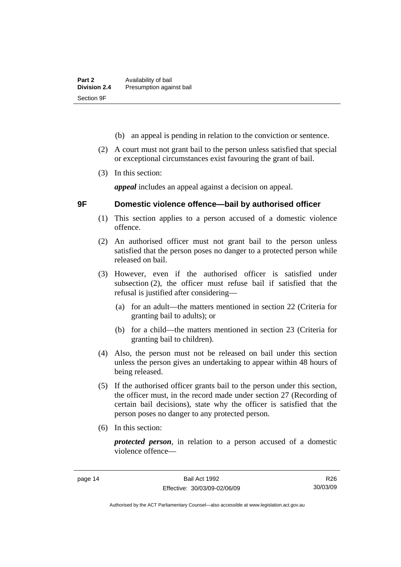- <span id="page-19-0"></span>(b) an appeal is pending in relation to the conviction or sentence.
- (2) A court must not grant bail to the person unless satisfied that special or exceptional circumstances exist favouring the grant of bail.
- (3) In this section:

*appeal* includes an appeal against a decision on appeal.

#### **9F Domestic violence offence—bail by authorised officer**

- (1) This section applies to a person accused of a domestic violence offence.
- (2) An authorised officer must not grant bail to the person unless satisfied that the person poses no danger to a protected person while released on bail.
- (3) However, even if the authorised officer is satisfied under subsection (2), the officer must refuse bail if satisfied that the refusal is justified after considering—
	- (a) for an adult—the matters mentioned in section 22 (Criteria for granting bail to adults); or
	- (b) for a child—the matters mentioned in section 23 (Criteria for granting bail to children).
- (4) Also, the person must not be released on bail under this section unless the person gives an undertaking to appear within 48 hours of being released.
- (5) If the authorised officer grants bail to the person under this section, the officer must, in the record made under section 27 (Recording of certain bail decisions), state why the officer is satisfied that the person poses no danger to any protected person.
- (6) In this section:

*protected person*, in relation to a person accused of a domestic violence offence—

R26 30/03/09

Authorised by the ACT Parliamentary Counsel—also accessible at www.legislation.act.gov.au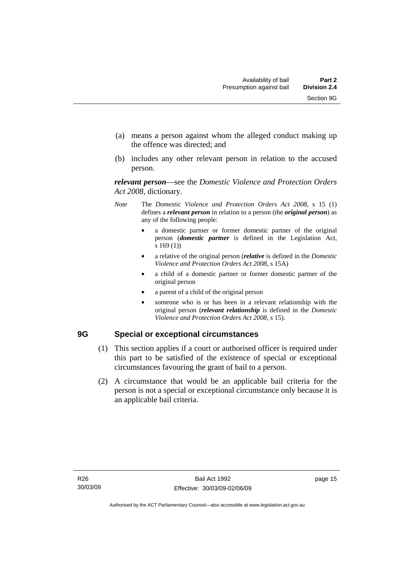- <span id="page-20-0"></span> (a) means a person against whom the alleged conduct making up the offence was directed; and
- (b) includes any other relevant person in relation to the accused person.

*relevant person*—see the *Domestic Violence and Protection Orders Act 2008*, dictionary.

- *Note* The *Domestic Violence and Protection Orders Act 2008*, s 15 (1) defines a *relevant person* in relation to a person (the *original person*) as any of the following people:
	- a domestic partner or former domestic partner of the original person (*domestic partner* is defined in the Legislation Act, s 169 (1))
	- a relative of the original person (*relative* is defined in the *Domestic Violence and Protection Orders Act 2008*, s 15A)
	- a child of a domestic partner or former domestic partner of the original person
	- a parent of a child of the original person
	- someone who is or has been in a relevant relationship with the original person (*relevant relationship* is defined in the *Domestic Violence and Protection Orders Act 2008*, s 15).

#### **9G Special or exceptional circumstances**

- (1) This section applies if a court or authorised officer is required under this part to be satisfied of the existence of special or exceptional circumstances favouring the grant of bail to a person.
- (2) A circumstance that would be an applicable bail criteria for the person is not a special or exceptional circumstance only because it is an applicable bail criteria.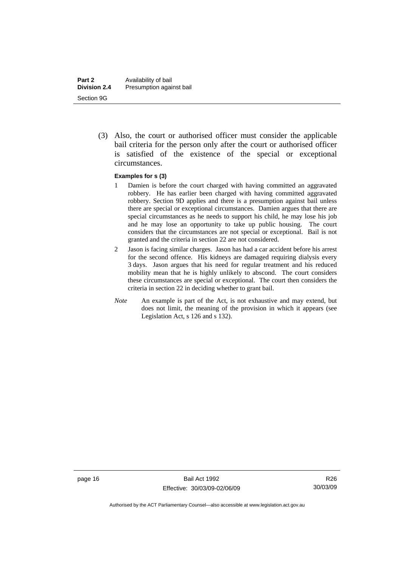(3) Also, the court or authorised officer must consider the applicable bail criteria for the person only after the court or authorised officer is satisfied of the existence of the special or exceptional circumstances.

#### **Examples for s (3)**

- 1 Damien is before the court charged with having committed an aggravated robbery. He has earlier been charged with having committed aggravated robbery. Section 9D applies and there is a presumption against bail unless there are special or exceptional circumstances. Damien argues that there are special circumstances as he needs to support his child, he may lose his job and he may lose an opportunity to take up public housing. The court considers that the circumstances are not special or exceptional. Bail is not granted and the criteria in section 22 are not considered.
- 2 Jason is facing similar charges. Jason has had a car accident before his arrest for the second offence. His kidneys are damaged requiring dialysis every 3 days. Jason argues that his need for regular treatment and his reduced mobility mean that he is highly unlikely to abscond. The court considers these circumstances are special or exceptional. The court then considers the criteria in section 22 in deciding whether to grant bail.
- *Note* An example is part of the Act, is not exhaustive and may extend, but does not limit, the meaning of the provision in which it appears (see Legislation Act, s 126 and s 132).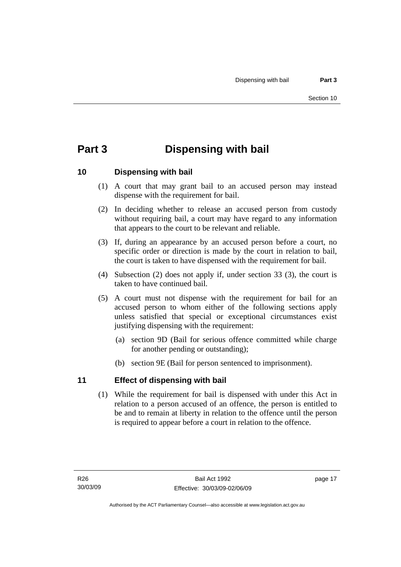# <span id="page-22-0"></span>**Part 3 Dispensing with bail**

#### **10 Dispensing with bail**

- (1) A court that may grant bail to an accused person may instead dispense with the requirement for bail.
- (2) In deciding whether to release an accused person from custody without requiring bail, a court may have regard to any information that appears to the court to be relevant and reliable.
- (3) If, during an appearance by an accused person before a court, no specific order or direction is made by the court in relation to bail, the court is taken to have dispensed with the requirement for bail.
- (4) Subsection (2) does not apply if, under section 33 (3), the court is taken to have continued bail.
- (5) A court must not dispense with the requirement for bail for an accused person to whom either of the following sections apply unless satisfied that special or exceptional circumstances exist justifying dispensing with the requirement:
	- (a) section 9D (Bail for serious offence committed while charge for another pending or outstanding);
	- (b) section 9E (Bail for person sentenced to imprisonment).

#### **11 Effect of dispensing with bail**

 (1) While the requirement for bail is dispensed with under this Act in relation to a person accused of an offence, the person is entitled to be and to remain at liberty in relation to the offence until the person is required to appear before a court in relation to the offence.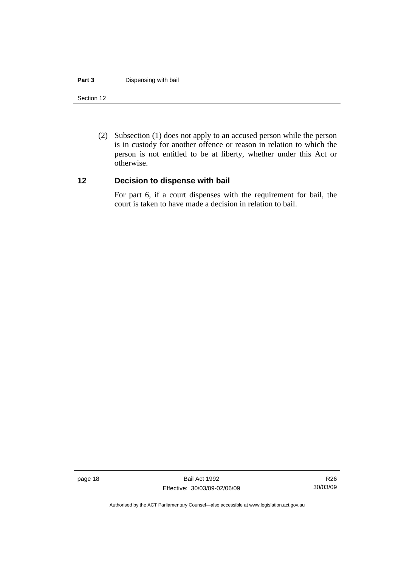#### <span id="page-23-0"></span>**Part 3 Dispensing with bail**

#### Section 12

 (2) Subsection (1) does not apply to an accused person while the person is in custody for another offence or reason in relation to which the person is not entitled to be at liberty, whether under this Act or otherwise.

#### **12 Decision to dispense with bail**

For part 6, if a court dispenses with the requirement for bail, the court is taken to have made a decision in relation to bail.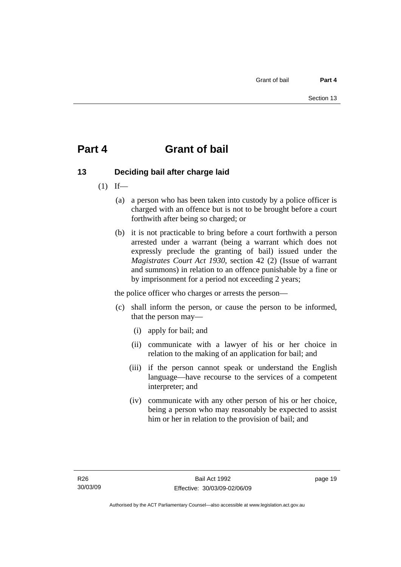# <span id="page-24-0"></span>**Part 4 Grant of bail**

### **13 Deciding bail after charge laid**

- $(1)$  If—
	- (a) a person who has been taken into custody by a police officer is charged with an offence but is not to be brought before a court forthwith after being so charged; or
	- (b) it is not practicable to bring before a court forthwith a person arrested under a warrant (being a warrant which does not expressly preclude the granting of bail) issued under the *Magistrates Court Act 1930*, section 42 (2) (Issue of warrant and summons) in relation to an offence punishable by a fine or by imprisonment for a period not exceeding 2 years;

the police officer who charges or arrests the person—

- (c) shall inform the person, or cause the person to be informed, that the person may—
	- (i) apply for bail; and
	- (ii) communicate with a lawyer of his or her choice in relation to the making of an application for bail; and
	- (iii) if the person cannot speak or understand the English language—have recourse to the services of a competent interpreter; and
	- (iv) communicate with any other person of his or her choice, being a person who may reasonably be expected to assist him or her in relation to the provision of bail; and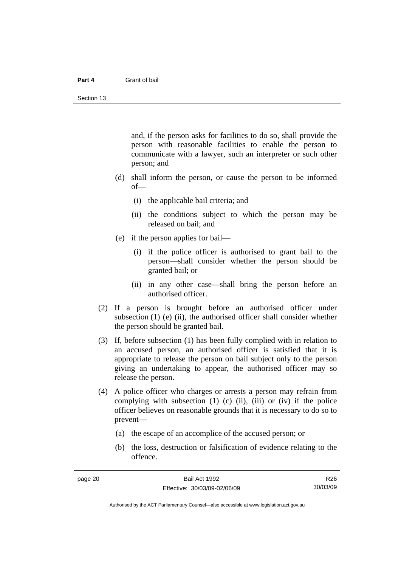#### **Part 4** Grant of bail

and, if the person asks for facilities to do so, shall provide the person with reasonable facilities to enable the person to communicate with a lawyer, such an interpreter or such other person; and

- (d) shall inform the person, or cause the person to be informed of—
	- (i) the applicable bail criteria; and
	- (ii) the conditions subject to which the person may be released on bail; and
- (e) if the person applies for bail—
	- (i) if the police officer is authorised to grant bail to the person—shall consider whether the person should be granted bail; or
	- (ii) in any other case—shall bring the person before an authorised officer.
- (2) If a person is brought before an authorised officer under subsection  $(1)$  (e)  $(ii)$ , the authorised officer shall consider whether the person should be granted bail.
- (3) If, before subsection (1) has been fully complied with in relation to an accused person, an authorised officer is satisfied that it is appropriate to release the person on bail subject only to the person giving an undertaking to appear, the authorised officer may so release the person.
- (4) A police officer who charges or arrests a person may refrain from complying with subsection  $(1)$   $(c)$   $(ii)$ ,  $(iii)$  or  $(iv)$  if the police officer believes on reasonable grounds that it is necessary to do so to prevent—
	- (a) the escape of an accomplice of the accused person; or
	- (b) the loss, destruction or falsification of evidence relating to the offence.

R26 30/03/09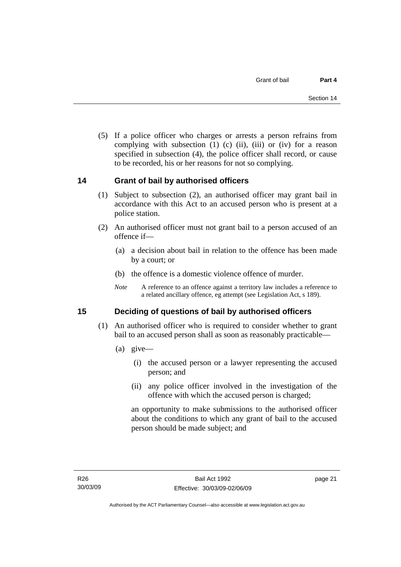<span id="page-26-0"></span> (5) If a police officer who charges or arrests a person refrains from complying with subsection  $(1)$   $(c)$   $(ii)$ ,  $(iii)$  or  $(iv)$  for a reason specified in subsection (4), the police officer shall record, or cause to be recorded, his or her reasons for not so complying.

#### **14 Grant of bail by authorised officers**

- (1) Subject to subsection (2), an authorised officer may grant bail in accordance with this Act to an accused person who is present at a police station.
- (2) An authorised officer must not grant bail to a person accused of an offence if—
	- (a) a decision about bail in relation to the offence has been made by a court; or
	- (b) the offence is a domestic violence offence of murder.
	- *Note* A reference to an offence against a territory law includes a reference to a related ancillary offence, eg attempt (see Legislation Act, s 189).

#### **15 Deciding of questions of bail by authorised officers**

- (1) An authorised officer who is required to consider whether to grant bail to an accused person shall as soon as reasonably practicable—
	- (a) give—
		- (i) the accused person or a lawyer representing the accused person; and
		- (ii) any police officer involved in the investigation of the offence with which the accused person is charged;

an opportunity to make submissions to the authorised officer about the conditions to which any grant of bail to the accused person should be made subject; and

page 21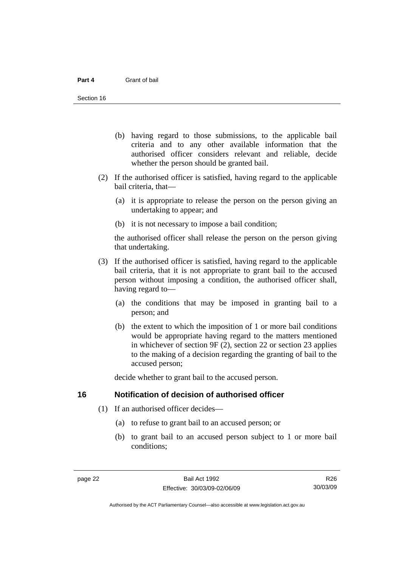- <span id="page-27-0"></span> (b) having regard to those submissions, to the applicable bail criteria and to any other available information that the authorised officer considers relevant and reliable, decide whether the person should be granted bail.
- (2) If the authorised officer is satisfied, having regard to the applicable bail criteria, that—
	- (a) it is appropriate to release the person on the person giving an undertaking to appear; and
	- (b) it is not necessary to impose a bail condition;

the authorised officer shall release the person on the person giving that undertaking.

- (3) If the authorised officer is satisfied, having regard to the applicable bail criteria, that it is not appropriate to grant bail to the accused person without imposing a condition, the authorised officer shall, having regard to—
	- (a) the conditions that may be imposed in granting bail to a person; and
	- (b) the extent to which the imposition of 1 or more bail conditions would be appropriate having regard to the matters mentioned in whichever of section 9F (2), section 22 or section 23 applies to the making of a decision regarding the granting of bail to the accused person;

decide whether to grant bail to the accused person.

#### **16 Notification of decision of authorised officer**

- (1) If an authorised officer decides—
	- (a) to refuse to grant bail to an accused person; or
	- (b) to grant bail to an accused person subject to 1 or more bail conditions;

R26 30/03/09

Authorised by the ACT Parliamentary Counsel—also accessible at www.legislation.act.gov.au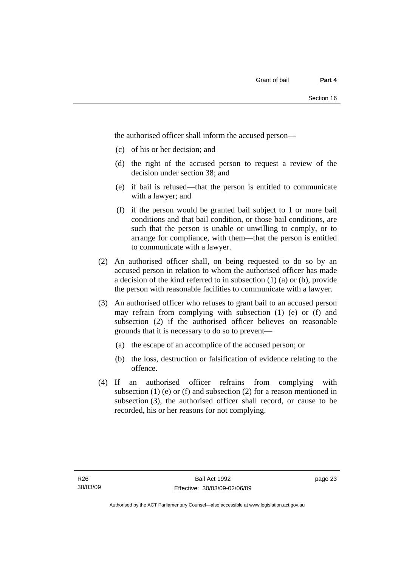the authorised officer shall inform the accused person—

- (c) of his or her decision; and
- (d) the right of the accused person to request a review of the decision under section 38; and
- (e) if bail is refused—that the person is entitled to communicate with a lawyer; and
- (f) if the person would be granted bail subject to 1 or more bail conditions and that bail condition, or those bail conditions, are such that the person is unable or unwilling to comply, or to arrange for compliance, with them—that the person is entitled to communicate with a lawyer.
- (2) An authorised officer shall, on being requested to do so by an accused person in relation to whom the authorised officer has made a decision of the kind referred to in subsection (1) (a) or (b), provide the person with reasonable facilities to communicate with a lawyer.
- (3) An authorised officer who refuses to grant bail to an accused person may refrain from complying with subsection (1) (e) or (f) and subsection (2) if the authorised officer believes on reasonable grounds that it is necessary to do so to prevent—
	- (a) the escape of an accomplice of the accused person; or
	- (b) the loss, destruction or falsification of evidence relating to the offence.
- (4) If an authorised officer refrains from complying with subsection  $(1)$  (e) or  $(f)$  and subsection  $(2)$  for a reason mentioned in subsection (3), the authorised officer shall record, or cause to be recorded, his or her reasons for not complying.

page 23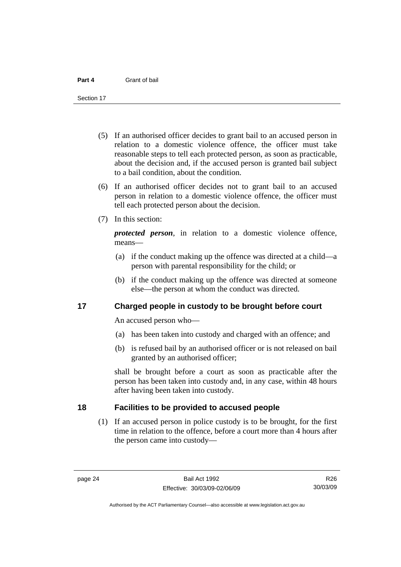<span id="page-29-0"></span>Section 17

- (5) If an authorised officer decides to grant bail to an accused person in relation to a domestic violence offence, the officer must take reasonable steps to tell each protected person, as soon as practicable, about the decision and, if the accused person is granted bail subject to a bail condition, about the condition.
- (6) If an authorised officer decides not to grant bail to an accused person in relation to a domestic violence offence, the officer must tell each protected person about the decision.
- (7) In this section:

*protected person*, in relation to a domestic violence offence, means—

- (a) if the conduct making up the offence was directed at a child—a person with parental responsibility for the child; or
- (b) if the conduct making up the offence was directed at someone else—the person at whom the conduct was directed.

#### **17 Charged people in custody to be brought before court**

An accused person who—

- (a) has been taken into custody and charged with an offence; and
- (b) is refused bail by an authorised officer or is not released on bail granted by an authorised officer;

shall be brought before a court as soon as practicable after the person has been taken into custody and, in any case, within 48 hours after having been taken into custody.

#### **18 Facilities to be provided to accused people**

 (1) If an accused person in police custody is to be brought, for the first time in relation to the offence, before a court more than 4 hours after the person came into custody—

Authorised by the ACT Parliamentary Counsel—also accessible at www.legislation.act.gov.au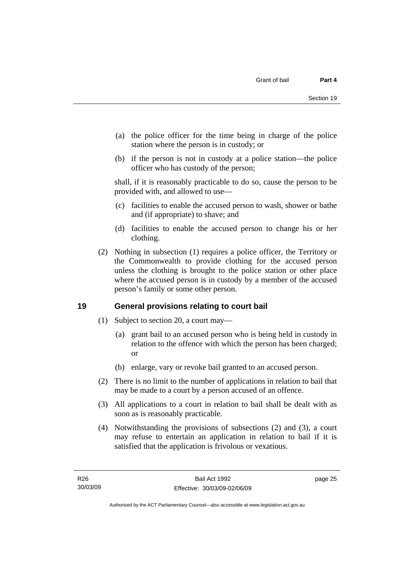- <span id="page-30-0"></span> (a) the police officer for the time being in charge of the police station where the person is in custody; or
- (b) if the person is not in custody at a police station—the police officer who has custody of the person;

shall, if it is reasonably practicable to do so, cause the person to be provided with, and allowed to use—

- (c) facilities to enable the accused person to wash, shower or bathe and (if appropriate) to shave; and
- (d) facilities to enable the accused person to change his or her clothing.
- (2) Nothing in subsection (1) requires a police officer, the Territory or the Commonwealth to provide clothing for the accused person unless the clothing is brought to the police station or other place where the accused person is in custody by a member of the accused person's family or some other person.

#### **19 General provisions relating to court bail**

- (1) Subject to section 20, a court may—
	- (a) grant bail to an accused person who is being held in custody in relation to the offence with which the person has been charged; or
	- (b) enlarge, vary or revoke bail granted to an accused person.
- (2) There is no limit to the number of applications in relation to bail that may be made to a court by a person accused of an offence.
- (3) All applications to a court in relation to bail shall be dealt with as soon as is reasonably practicable.
- (4) Notwithstanding the provisions of subsections (2) and (3), a court may refuse to entertain an application in relation to bail if it is satisfied that the application is frivolous or vexatious.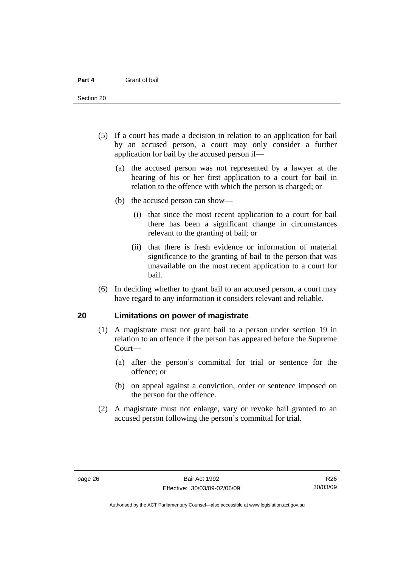<span id="page-31-0"></span>Section 20

- (5) If a court has made a decision in relation to an application for bail by an accused person, a court may only consider a further application for bail by the accused person if—
	- (a) the accused person was not represented by a lawyer at the hearing of his or her first application to a court for bail in relation to the offence with which the person is charged; or
	- (b) the accused person can show—
		- (i) that since the most recent application to a court for bail there has been a significant change in circumstances relevant to the granting of bail; or
		- (ii) that there is fresh evidence or information of material significance to the granting of bail to the person that was unavailable on the most recent application to a court for bail.
- (6) In deciding whether to grant bail to an accused person, a court may have regard to any information it considers relevant and reliable.

#### **20 Limitations on power of magistrate**

- (1) A magistrate must not grant bail to a person under section 19 in relation to an offence if the person has appeared before the Supreme Court—
	- (a) after the person's committal for trial or sentence for the offence; or
	- (b) on appeal against a conviction, order or sentence imposed on the person for the offence.
- (2) A magistrate must not enlarge, vary or revoke bail granted to an accused person following the person's committal for trial.

R26 30/03/09

Authorised by the ACT Parliamentary Counsel—also accessible at www.legislation.act.gov.au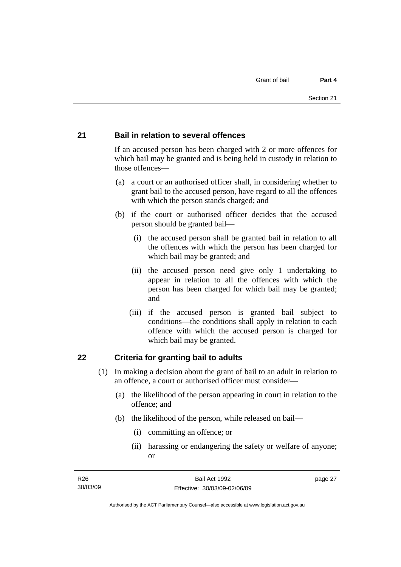#### <span id="page-32-0"></span>**21 Bail in relation to several offences**

If an accused person has been charged with 2 or more offences for which bail may be granted and is being held in custody in relation to those offences—

- (a) a court or an authorised officer shall, in considering whether to grant bail to the accused person, have regard to all the offences with which the person stands charged; and
- (b) if the court or authorised officer decides that the accused person should be granted bail—
	- (i) the accused person shall be granted bail in relation to all the offences with which the person has been charged for which bail may be granted; and
	- (ii) the accused person need give only 1 undertaking to appear in relation to all the offences with which the person has been charged for which bail may be granted; and
	- (iii) if the accused person is granted bail subject to conditions—the conditions shall apply in relation to each offence with which the accused person is charged for which bail may be granted.

#### **22 Criteria for granting bail to adults**

- (1) In making a decision about the grant of bail to an adult in relation to an offence, a court or authorised officer must consider—
	- (a) the likelihood of the person appearing in court in relation to the offence; and
	- (b) the likelihood of the person, while released on bail—
		- (i) committing an offence; or
		- (ii) harassing or endangering the safety or welfare of anyone; or

page 27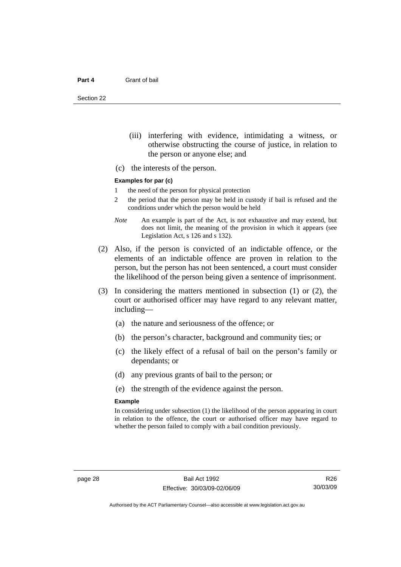Section 22

- (iii) interfering with evidence, intimidating a witness, or otherwise obstructing the course of justice, in relation to the person or anyone else; and
- (c) the interests of the person.

#### **Examples for par (c)**

- 1 the need of the person for physical protection
- 2 the period that the person may be held in custody if bail is refused and the conditions under which the person would be held
- *Note* An example is part of the Act, is not exhaustive and may extend, but does not limit, the meaning of the provision in which it appears (see Legislation Act, s 126 and s 132).
- (2) Also, if the person is convicted of an indictable offence, or the elements of an indictable offence are proven in relation to the person, but the person has not been sentenced, a court must consider the likelihood of the person being given a sentence of imprisonment.
- (3) In considering the matters mentioned in subsection (1) or (2), the court or authorised officer may have regard to any relevant matter, including—
	- (a) the nature and seriousness of the offence; or
	- (b) the person's character, background and community ties; or
	- (c) the likely effect of a refusal of bail on the person's family or dependants; or
	- (d) any previous grants of bail to the person; or
	- (e) the strength of the evidence against the person.

#### **Example**

In considering under subsection (1) the likelihood of the person appearing in court in relation to the offence, the court or authorised officer may have regard to whether the person failed to comply with a bail condition previously.

R26 30/03/09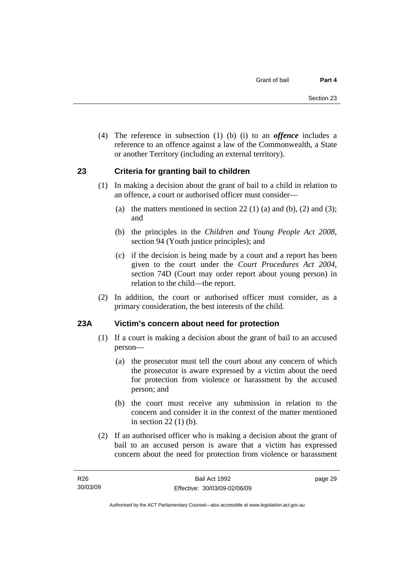<span id="page-34-0"></span> (4) The reference in subsection (1) (b) (i) to an *offence* includes a reference to an offence against a law of the Commonwealth, a State or another Territory (including an external territory).

#### **23 Criteria for granting bail to children**

- (1) In making a decision about the grant of bail to a child in relation to an offence, a court or authorised officer must consider—
	- (a) the matters mentioned in section 22 (1) (a) and (b), (2) and (3); and
	- (b) the principles in the *Children and Young People Act 2008*, section 94 (Youth justice principles); and
	- (c) if the decision is being made by a court and a report has been given to the court under the *Court Procedures Act 2004*, section 74D (Court may order report about young person) in relation to the child—the report.
- (2) In addition, the court or authorised officer must consider, as a primary consideration, the best interests of the child.

#### **23A Victim's concern about need for protection**

- (1) If a court is making a decision about the grant of bail to an accused person—
	- (a) the prosecutor must tell the court about any concern of which the prosecutor is aware expressed by a victim about the need for protection from violence or harassment by the accused person; and
	- (b) the court must receive any submission in relation to the concern and consider it in the context of the matter mentioned in section 22 (1) (b).
- (2) If an authorised officer who is making a decision about the grant of bail to an accused person is aware that a victim has expressed concern about the need for protection from violence or harassment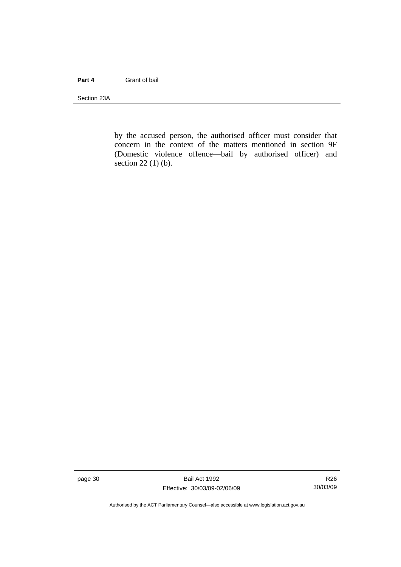#### **Part 4** Grant of bail

Section 23A

by the accused person, the authorised officer must consider that concern in the context of the matters mentioned in section 9F (Domestic violence offence—bail by authorised officer) and section 22 (1) (b).

page 30 Bail Act 1992 Effective: 30/03/09-02/06/09

R26 30/03/09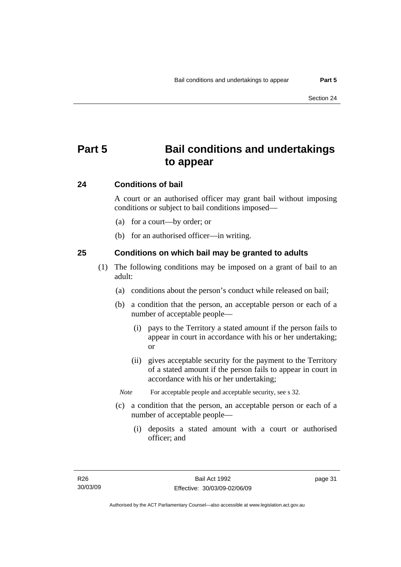# **Part 5 Bail conditions and undertakings to appear**

#### **24 Conditions of bail**

A court or an authorised officer may grant bail without imposing conditions or subject to bail conditions imposed—

- (a) for a court—by order; or
- (b) for an authorised officer—in writing.

#### **25 Conditions on which bail may be granted to adults**

- (1) The following conditions may be imposed on a grant of bail to an adult:
	- (a) conditions about the person's conduct while released on bail;
	- (b) a condition that the person, an acceptable person or each of a number of acceptable people—
		- (i) pays to the Territory a stated amount if the person fails to appear in court in accordance with his or her undertaking; or
		- (ii) gives acceptable security for the payment to the Territory of a stated amount if the person fails to appear in court in accordance with his or her undertaking;
		- *Note* For acceptable people and acceptable security, see s 32.
	- (c) a condition that the person, an acceptable person or each of a number of acceptable people—
		- (i) deposits a stated amount with a court or authorised officer; and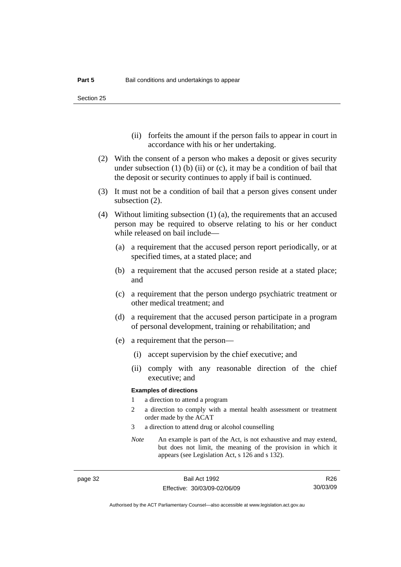Section 25

- (ii) forfeits the amount if the person fails to appear in court in accordance with his or her undertaking.
- (2) With the consent of a person who makes a deposit or gives security under subsection  $(1)$  (b)  $(ii)$  or  $(c)$ , it may be a condition of bail that the deposit or security continues to apply if bail is continued.
- (3) It must not be a condition of bail that a person gives consent under subsection (2).
- (4) Without limiting subsection (1) (a), the requirements that an accused person may be required to observe relating to his or her conduct while released on bail include—
	- (a) a requirement that the accused person report periodically, or at specified times, at a stated place; and
	- (b) a requirement that the accused person reside at a stated place; and
	- (c) a requirement that the person undergo psychiatric treatment or other medical treatment; and
	- (d) a requirement that the accused person participate in a program of personal development, training or rehabilitation; and
	- (e) a requirement that the person—
		- (i) accept supervision by the chief executive; and
		- (ii) comply with any reasonable direction of the chief executive; and

#### **Examples of directions**

- 1 a direction to attend a program
- 2 a direction to comply with a mental health assessment or treatment order made by the ACAT
- 3 a direction to attend drug or alcohol counselling
- *Note* An example is part of the Act, is not exhaustive and may extend, but does not limit, the meaning of the provision in which it appears (see Legislation Act, s 126 and s 132).

R26 30/03/09

Authorised by the ACT Parliamentary Counsel—also accessible at www.legislation.act.gov.au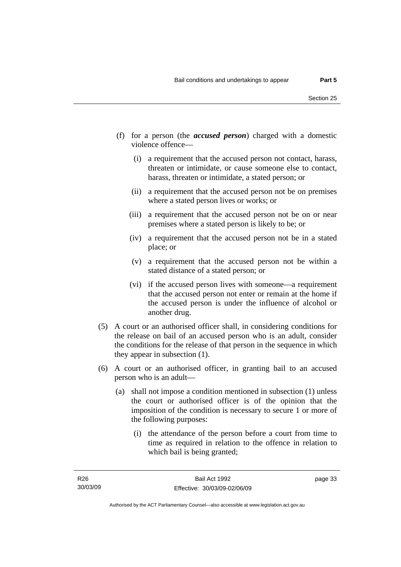- (f) for a person (the *accused person*) charged with a domestic violence offence—
	- (i) a requirement that the accused person not contact, harass, threaten or intimidate, or cause someone else to contact, harass, threaten or intimidate, a stated person; or
	- (ii) a requirement that the accused person not be on premises where a stated person lives or works; or
	- (iii) a requirement that the accused person not be on or near premises where a stated person is likely to be; or
	- (iv) a requirement that the accused person not be in a stated place; or
	- (v) a requirement that the accused person not be within a stated distance of a stated person; or
	- (vi) if the accused person lives with someone—a requirement that the accused person not enter or remain at the home if the accused person is under the influence of alcohol or another drug.
- (5) A court or an authorised officer shall, in considering conditions for the release on bail of an accused person who is an adult, consider the conditions for the release of that person in the sequence in which they appear in subsection (1).
- (6) A court or an authorised officer, in granting bail to an accused person who is an adult—
	- (a) shall not impose a condition mentioned in subsection (1) unless the court or authorised officer is of the opinion that the imposition of the condition is necessary to secure 1 or more of the following purposes:
		- (i) the attendance of the person before a court from time to time as required in relation to the offence in relation to which bail is being granted;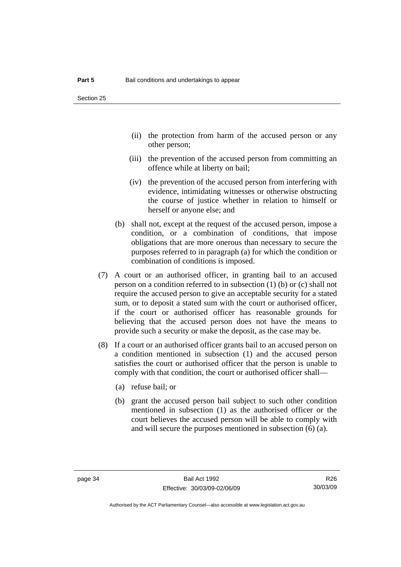- (ii) the protection from harm of the accused person or any other person;
- (iii) the prevention of the accused person from committing an offence while at liberty on bail;
- (iv) the prevention of the accused person from interfering with evidence, intimidating witnesses or otherwise obstructing the course of justice whether in relation to himself or herself or anyone else; and
- (b) shall not, except at the request of the accused person, impose a condition, or a combination of conditions, that impose obligations that are more onerous than necessary to secure the purposes referred to in paragraph (a) for which the condition or combination of conditions is imposed.
- (7) A court or an authorised officer, in granting bail to an accused person on a condition referred to in subsection (1) (b) or (c) shall not require the accused person to give an acceptable security for a stated sum, or to deposit a stated sum with the court or authorised officer, if the court or authorised officer has reasonable grounds for believing that the accused person does not have the means to provide such a security or make the deposit, as the case may be.
- (8) If a court or an authorised officer grants bail to an accused person on a condition mentioned in subsection (1) and the accused person satisfies the court or authorised officer that the person is unable to comply with that condition, the court or authorised officer shall—
	- (a) refuse bail; or
	- (b) grant the accused person bail subject to such other condition mentioned in subsection (1) as the authorised officer or the court believes the accused person will be able to comply with and will secure the purposes mentioned in subsection (6) (a).

R26 30/03/09

Authorised by the ACT Parliamentary Counsel—also accessible at www.legislation.act.gov.au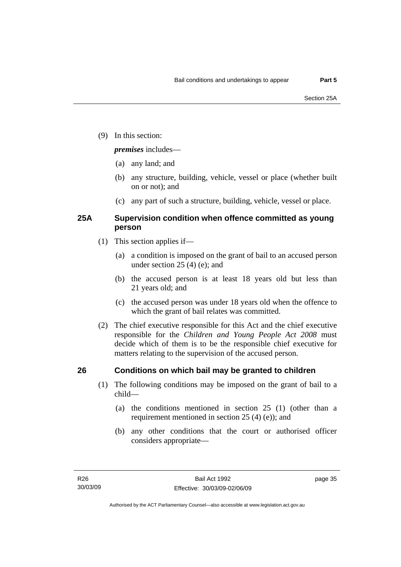(9) In this section:

#### *premises* includes—

- (a) any land; and
- (b) any structure, building, vehicle, vessel or place (whether built on or not); and
- (c) any part of such a structure, building, vehicle, vessel or place.

### **25A Supervision condition when offence committed as young person**

- (1) This section applies if—
	- (a) a condition is imposed on the grant of bail to an accused person under section 25 (4) (e); and
	- (b) the accused person is at least 18 years old but less than 21 years old; and
	- (c) the accused person was under 18 years old when the offence to which the grant of bail relates was committed.
- (2) The chief executive responsible for this Act and the chief executive responsible for the *Children and Young People Act 2008* must decide which of them is to be the responsible chief executive for matters relating to the supervision of the accused person.

## **26 Conditions on which bail may be granted to children**

- (1) The following conditions may be imposed on the grant of bail to a child—
	- (a) the conditions mentioned in section 25 (1) (other than a requirement mentioned in section 25 (4) (e)); and
	- (b) any other conditions that the court or authorised officer considers appropriate—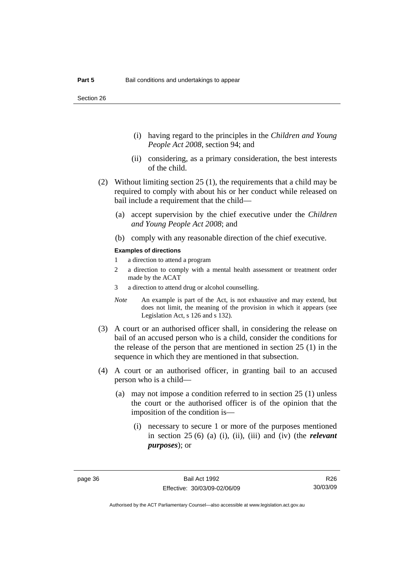- (i) having regard to the principles in the *Children and Young People Act 2008*, section 94; and
- (ii) considering, as a primary consideration, the best interests of the child.
- (2) Without limiting section 25 (1), the requirements that a child may be required to comply with about his or her conduct while released on bail include a requirement that the child—
	- (a) accept supervision by the chief executive under the *Children and Young People Act 2008*; and
	- (b) comply with any reasonable direction of the chief executive.

#### **Examples of directions**

- 1 a direction to attend a program
- 2 a direction to comply with a mental health assessment or treatment order made by the ACAT
- 3 a direction to attend drug or alcohol counselling.
- *Note* An example is part of the Act, is not exhaustive and may extend, but does not limit, the meaning of the provision in which it appears (see Legislation Act, s 126 and s 132).
- (3) A court or an authorised officer shall, in considering the release on bail of an accused person who is a child, consider the conditions for the release of the person that are mentioned in section 25 (1) in the sequence in which they are mentioned in that subsection.
- (4) A court or an authorised officer, in granting bail to an accused person who is a child—
	- (a) may not impose a condition referred to in section 25 (1) unless the court or the authorised officer is of the opinion that the imposition of the condition is—
		- (i) necessary to secure 1 or more of the purposes mentioned in section 25 (6) (a) (i), (ii), (iii) and (iv) (the *relevant purposes*); or

R26 30/03/09

Authorised by the ACT Parliamentary Counsel—also accessible at www.legislation.act.gov.au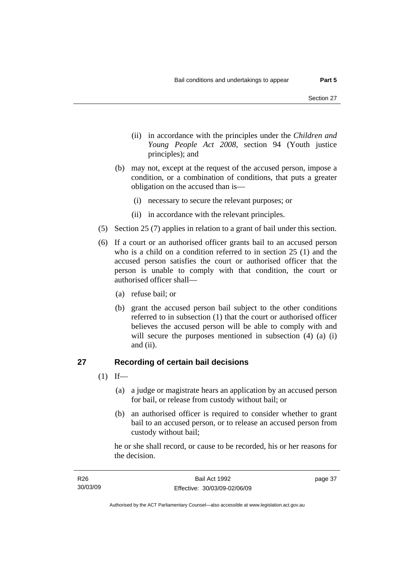- (ii) in accordance with the principles under the *Children and Young People Act 2008*, section 94 (Youth justice principles); and
- (b) may not, except at the request of the accused person, impose a condition, or a combination of conditions, that puts a greater obligation on the accused than is—
	- (i) necessary to secure the relevant purposes; or
	- (ii) in accordance with the relevant principles.
- (5) Section 25 (7) applies in relation to a grant of bail under this section.
- (6) If a court or an authorised officer grants bail to an accused person who is a child on a condition referred to in section 25 (1) and the accused person satisfies the court or authorised officer that the person is unable to comply with that condition, the court or authorised officer shall—
	- (a) refuse bail; or
	- (b) grant the accused person bail subject to the other conditions referred to in subsection (1) that the court or authorised officer believes the accused person will be able to comply with and will secure the purposes mentioned in subsection (4) (a) (i) and (ii).

### **27 Recording of certain bail decisions**

- $(1)$  If—
	- (a) a judge or magistrate hears an application by an accused person for bail, or release from custody without bail; or
	- (b) an authorised officer is required to consider whether to grant bail to an accused person, or to release an accused person from custody without bail;

he or she shall record, or cause to be recorded, his or her reasons for the decision.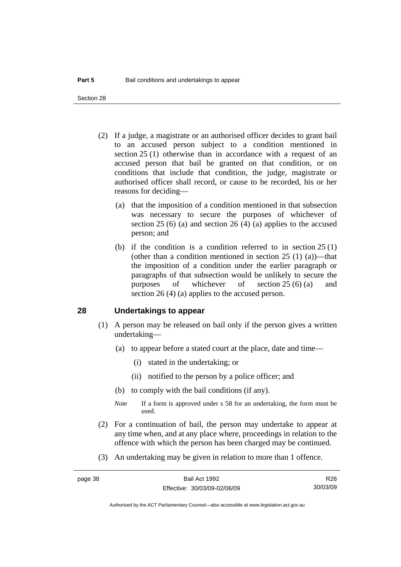Section 28

- (2) If a judge, a magistrate or an authorised officer decides to grant bail to an accused person subject to a condition mentioned in section 25 (1) otherwise than in accordance with a request of an accused person that bail be granted on that condition, or on conditions that include that condition, the judge, magistrate or authorised officer shall record, or cause to be recorded, his or her reasons for deciding—
	- (a) that the imposition of a condition mentioned in that subsection was necessary to secure the purposes of whichever of section 25 (6) (a) and section 26 (4) (a) applies to the accused person; and
	- (b) if the condition is a condition referred to in section 25 (1) (other than a condition mentioned in section  $25(1)(a)$ )—that the imposition of a condition under the earlier paragraph or paragraphs of that subsection would be unlikely to secure the purposes of whichever of section 25 (6) (a) and section 26 (4) (a) applies to the accused person.

#### **28 Undertakings to appear**

- (1) A person may be released on bail only if the person gives a written undertaking—
	- (a) to appear before a stated court at the place, date and time—
		- (i) stated in the undertaking; or
		- (ii) notified to the person by a police officer; and
	- (b) to comply with the bail conditions (if any).
	- *Note* If a form is approved under s 58 for an undertaking, the form must be used.
- (2) For a continuation of bail, the person may undertake to appear at any time when, and at any place where, proceedings in relation to the offence with which the person has been charged may be continued.
- (3) An undertaking may be given in relation to more than 1 offence.

R26 30/03/09

Authorised by the ACT Parliamentary Counsel—also accessible at www.legislation.act.gov.au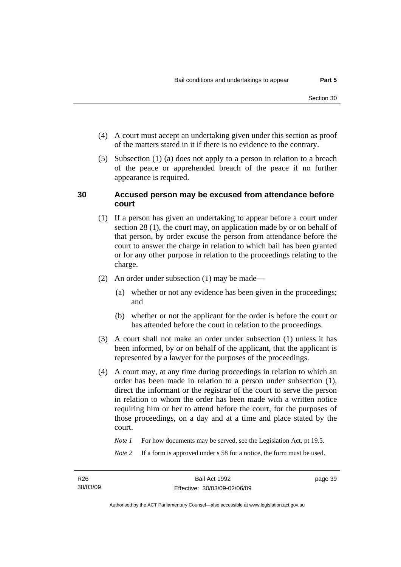- (4) A court must accept an undertaking given under this section as proof of the matters stated in it if there is no evidence to the contrary.
- (5) Subsection (1) (a) does not apply to a person in relation to a breach of the peace or apprehended breach of the peace if no further appearance is required.

#### **30 Accused person may be excused from attendance before court**

- (1) If a person has given an undertaking to appear before a court under section 28 (1), the court may, on application made by or on behalf of that person, by order excuse the person from attendance before the court to answer the charge in relation to which bail has been granted or for any other purpose in relation to the proceedings relating to the charge.
- (2) An order under subsection (1) may be made—
	- (a) whether or not any evidence has been given in the proceedings; and
	- (b) whether or not the applicant for the order is before the court or has attended before the court in relation to the proceedings.
- (3) A court shall not make an order under subsection (1) unless it has been informed, by or on behalf of the applicant, that the applicant is represented by a lawyer for the purposes of the proceedings.
- (4) A court may, at any time during proceedings in relation to which an order has been made in relation to a person under subsection (1), direct the informant or the registrar of the court to serve the person in relation to whom the order has been made with a written notice requiring him or her to attend before the court, for the purposes of those proceedings, on a day and at a time and place stated by the court.

*Note 1* For how documents may be served, see the Legislation Act, pt 19.5.

*Note* 2 If a form is approved under s 58 for a notice, the form must be used.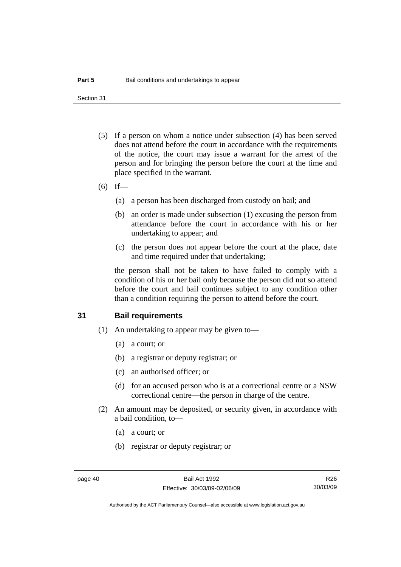Section 31

- (5) If a person on whom a notice under subsection (4) has been served does not attend before the court in accordance with the requirements of the notice, the court may issue a warrant for the arrest of the person and for bringing the person before the court at the time and place specified in the warrant.
- (6) If—
	- (a) a person has been discharged from custody on bail; and
	- (b) an order is made under subsection (1) excusing the person from attendance before the court in accordance with his or her undertaking to appear; and
	- (c) the person does not appear before the court at the place, date and time required under that undertaking;

the person shall not be taken to have failed to comply with a condition of his or her bail only because the person did not so attend before the court and bail continues subject to any condition other than a condition requiring the person to attend before the court.

#### **31 Bail requirements**

- (1) An undertaking to appear may be given to—
	- (a) a court; or
	- (b) a registrar or deputy registrar; or
	- (c) an authorised officer; or
	- (d) for an accused person who is at a correctional centre or a NSW correctional centre—the person in charge of the centre.
- (2) An amount may be deposited, or security given, in accordance with a bail condition, to—
	- (a) a court; or
	- (b) registrar or deputy registrar; or

R26 30/03/09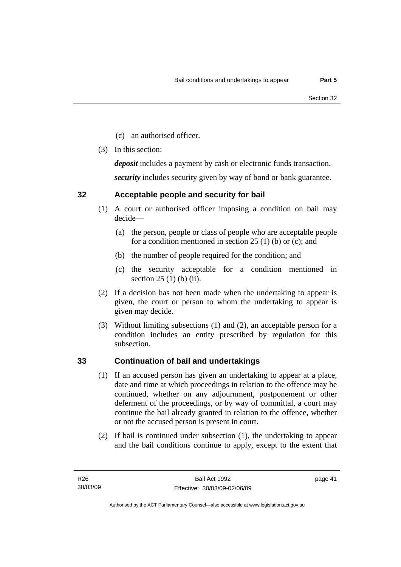- (c) an authorised officer.
- (3) In this section:

*deposit* includes a payment by cash or electronic funds transaction.

*security* includes security given by way of bond or bank guarantee.

### **32 Acceptable people and security for bail**

- (1) A court or authorised officer imposing a condition on bail may decide—
	- (a) the person, people or class of people who are acceptable people for a condition mentioned in section 25 (1) (b) or (c); and
	- (b) the number of people required for the condition; and
	- (c) the security acceptable for a condition mentioned in section 25 (1) (b) (ii).
- (2) If a decision has not been made when the undertaking to appear is given, the court or person to whom the undertaking to appear is given may decide.
- (3) Without limiting subsections (1) and (2), an acceptable person for a condition includes an entity prescribed by regulation for this subsection.

### **33 Continuation of bail and undertakings**

- (1) If an accused person has given an undertaking to appear at a place, date and time at which proceedings in relation to the offence may be continued, whether on any adjournment, postponement or other deferment of the proceedings, or by way of committal, a court may continue the bail already granted in relation to the offence, whether or not the accused person is present in court.
- (2) If bail is continued under subsection (1), the undertaking to appear and the bail conditions continue to apply, except to the extent that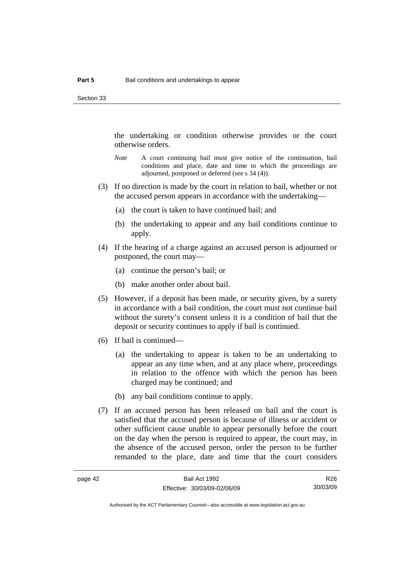Section 33

the undertaking or condition otherwise provides or the court otherwise orders.

- *Note* A court continuing bail must give notice of the continuation, bail conditions and place, date and time to which the proceedings are adjourned, postponed or deferred (see s 34 (4)).
- (3) If no direction is made by the court in relation to bail, whether or not the accused person appears in accordance with the undertaking—
	- (a) the court is taken to have continued bail; and
	- (b) the undertaking to appear and any bail conditions continue to apply.
- (4) If the hearing of a charge against an accused person is adjourned or postponed, the court may—
	- (a) continue the person's bail; or
	- (b) make another order about bail.
- (5) However, if a deposit has been made, or security given, by a surety in accordance with a bail condition, the court must not continue bail without the surety's consent unless it is a condition of bail that the deposit or security continues to apply if bail is continued.
- (6) If bail is continued—
	- (a) the undertaking to appear is taken to be an undertaking to appear an any time when, and at any place where, proceedings in relation to the offence with which the person has been charged may be continued; and
	- (b) any bail conditions continue to apply.
- (7) If an accused person has been released on bail and the court is satisfied that the accused person is because of illness or accident or other sufficient cause unable to appear personally before the court on the day when the person is required to appear, the court may, in the absence of the accused person, order the person to be further remanded to the place, date and time that the court considers

R26 30/03/09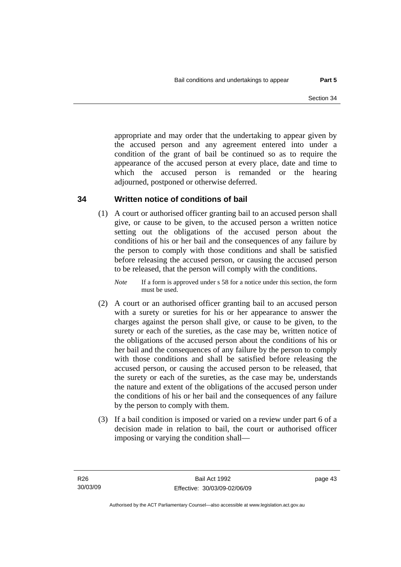appropriate and may order that the undertaking to appear given by the accused person and any agreement entered into under a condition of the grant of bail be continued so as to require the appearance of the accused person at every place, date and time to which the accused person is remanded or the hearing adjourned, postponed or otherwise deferred.

### **34 Written notice of conditions of bail**

 (1) A court or authorised officer granting bail to an accused person shall give, or cause to be given, to the accused person a written notice setting out the obligations of the accused person about the conditions of his or her bail and the consequences of any failure by the person to comply with those conditions and shall be satisfied before releasing the accused person, or causing the accused person to be released, that the person will comply with the conditions.

*Note* If a form is approved under s 58 for a notice under this section, the form must be used.

- (2) A court or an authorised officer granting bail to an accused person with a surety or sureties for his or her appearance to answer the charges against the person shall give, or cause to be given, to the surety or each of the sureties, as the case may be, written notice of the obligations of the accused person about the conditions of his or her bail and the consequences of any failure by the person to comply with those conditions and shall be satisfied before releasing the accused person, or causing the accused person to be released, that the surety or each of the sureties, as the case may be, understands the nature and extent of the obligations of the accused person under the conditions of his or her bail and the consequences of any failure by the person to comply with them.
- (3) If a bail condition is imposed or varied on a review under part 6 of a decision made in relation to bail, the court or authorised officer imposing or varying the condition shall—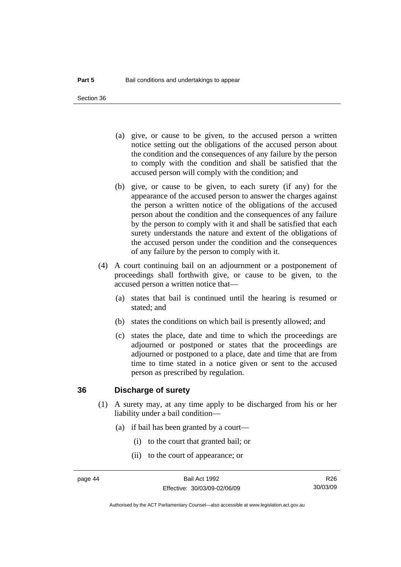Section 36

- (a) give, or cause to be given, to the accused person a written notice setting out the obligations of the accused person about the condition and the consequences of any failure by the person to comply with the condition and shall be satisfied that the accused person will comply with the condition; and
- (b) give, or cause to be given, to each surety (if any) for the appearance of the accused person to answer the charges against the person a written notice of the obligations of the accused person about the condition and the consequences of any failure by the person to comply with it and shall be satisfied that each surety understands the nature and extent of the obligations of the accused person under the condition and the consequences of any failure by the person to comply with it.
- (4) A court continuing bail on an adjournment or a postponement of proceedings shall forthwith give, or cause to be given, to the accused person a written notice that—
	- (a) states that bail is continued until the hearing is resumed or stated; and
	- (b) states the conditions on which bail is presently allowed; and
	- (c) states the place, date and time to which the proceedings are adjourned or postponed or states that the proceedings are adjourned or postponed to a place, date and time that are from time to time stated in a notice given or sent to the accused person as prescribed by regulation.

#### **36 Discharge of surety**

- (1) A surety may, at any time apply to be discharged from his or her liability under a bail condition—
	- (a) if bail has been granted by a court—
		- (i) to the court that granted bail; or
		- (ii) to the court of appearance; or

R26 30/03/09

Authorised by the ACT Parliamentary Counsel—also accessible at www.legislation.act.gov.au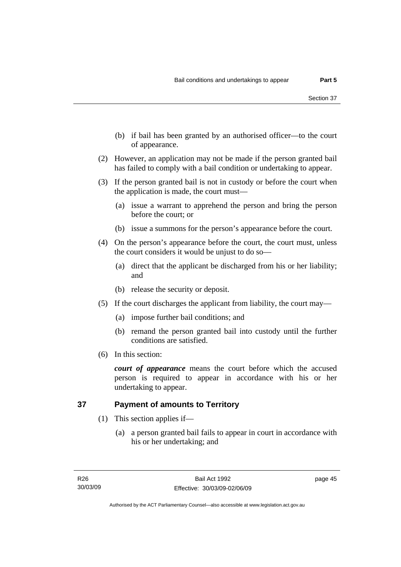- (b) if bail has been granted by an authorised officer—to the court of appearance.
- (2) However, an application may not be made if the person granted bail has failed to comply with a bail condition or undertaking to appear.
- (3) If the person granted bail is not in custody or before the court when the application is made, the court must—
	- (a) issue a warrant to apprehend the person and bring the person before the court; or
	- (b) issue a summons for the person's appearance before the court.
- (4) On the person's appearance before the court, the court must, unless the court considers it would be unjust to do so—
	- (a) direct that the applicant be discharged from his or her liability; and
	- (b) release the security or deposit.
- (5) If the court discharges the applicant from liability, the court may—
	- (a) impose further bail conditions; and
	- (b) remand the person granted bail into custody until the further conditions are satisfied.
- (6) In this section:

*court of appearance* means the court before which the accused person is required to appear in accordance with his or her undertaking to appear.

### **37 Payment of amounts to Territory**

- (1) This section applies if—
	- (a) a person granted bail fails to appear in court in accordance with his or her undertaking; and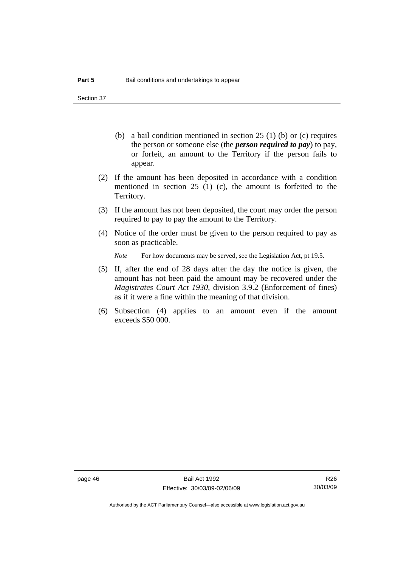Section 37

- (b) a bail condition mentioned in section 25 (1) (b) or (c) requires the person or someone else (the *person required to pay*) to pay, or forfeit, an amount to the Territory if the person fails to appear.
- (2) If the amount has been deposited in accordance with a condition mentioned in section 25 (1) (c), the amount is forfeited to the Territory.
- (3) If the amount has not been deposited, the court may order the person required to pay to pay the amount to the Territory.
- (4) Notice of the order must be given to the person required to pay as soon as practicable.

*Note* For how documents may be served, see the Legislation Act, pt 19.5.

- (5) If, after the end of 28 days after the day the notice is given, the amount has not been paid the amount may be recovered under the *Magistrates Court Act 1930*, division 3.9.2 (Enforcement of fines) as if it were a fine within the meaning of that division.
- (6) Subsection (4) applies to an amount even if the amount exceeds \$50 000.

R26 30/03/09

Authorised by the ACT Parliamentary Counsel—also accessible at www.legislation.act.gov.au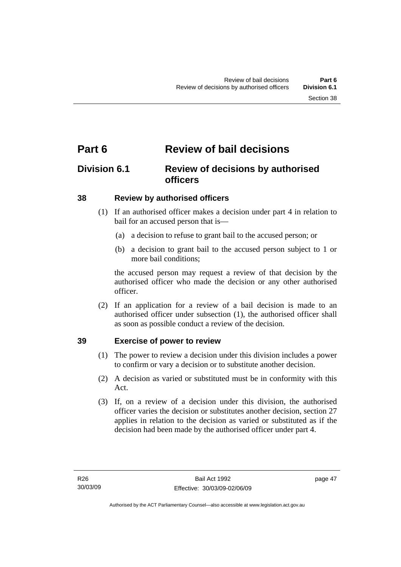# **Part 6 Review of bail decisions**

# **Division 6.1 Review of decisions by authorised officers**

### **38 Review by authorised officers**

- (1) If an authorised officer makes a decision under part 4 in relation to bail for an accused person that is—
	- (a) a decision to refuse to grant bail to the accused person; or
	- (b) a decision to grant bail to the accused person subject to 1 or more bail conditions;

the accused person may request a review of that decision by the authorised officer who made the decision or any other authorised officer.

 (2) If an application for a review of a bail decision is made to an authorised officer under subsection (1), the authorised officer shall as soon as possible conduct a review of the decision.

### **39 Exercise of power to review**

- (1) The power to review a decision under this division includes a power to confirm or vary a decision or to substitute another decision.
- (2) A decision as varied or substituted must be in conformity with this Act.
- (3) If, on a review of a decision under this division, the authorised officer varies the decision or substitutes another decision, section 27 applies in relation to the decision as varied or substituted as if the decision had been made by the authorised officer under part 4.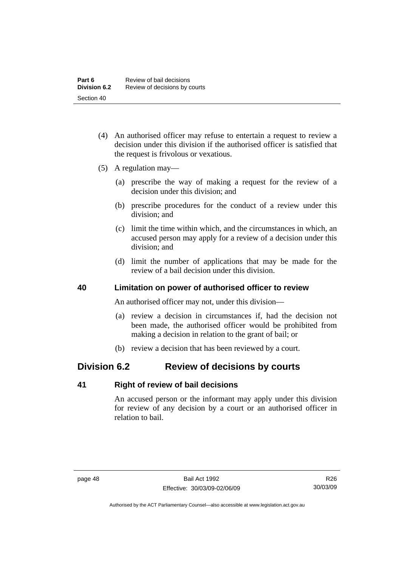- (4) An authorised officer may refuse to entertain a request to review a decision under this division if the authorised officer is satisfied that the request is frivolous or vexatious.
- (5) A regulation may—
	- (a) prescribe the way of making a request for the review of a decision under this division; and
	- (b) prescribe procedures for the conduct of a review under this division; and
	- (c) limit the time within which, and the circumstances in which, an accused person may apply for a review of a decision under this division; and
	- (d) limit the number of applications that may be made for the review of a bail decision under this division.

#### **40 Limitation on power of authorised officer to review**

An authorised officer may not, under this division—

- (a) review a decision in circumstances if, had the decision not been made, the authorised officer would be prohibited from making a decision in relation to the grant of bail; or
- (b) review a decision that has been reviewed by a court.

# **Division 6.2 Review of decisions by courts**

#### **41 Right of review of bail decisions**

An accused person or the informant may apply under this division for review of any decision by a court or an authorised officer in relation to bail.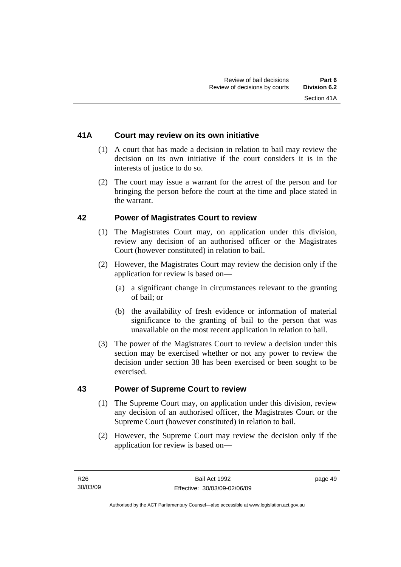### **41A Court may review on its own initiative**

- (1) A court that has made a decision in relation to bail may review the decision on its own initiative if the court considers it is in the interests of justice to do so.
- (2) The court may issue a warrant for the arrest of the person and for bringing the person before the court at the time and place stated in the warrant.

#### **42 Power of Magistrates Court to review**

- (1) The Magistrates Court may, on application under this division, review any decision of an authorised officer or the Magistrates Court (however constituted) in relation to bail.
- (2) However, the Magistrates Court may review the decision only if the application for review is based on—
	- (a) a significant change in circumstances relevant to the granting of bail; or
	- (b) the availability of fresh evidence or information of material significance to the granting of bail to the person that was unavailable on the most recent application in relation to bail.
- (3) The power of the Magistrates Court to review a decision under this section may be exercised whether or not any power to review the decision under section 38 has been exercised or been sought to be exercised.

#### **43 Power of Supreme Court to review**

- (1) The Supreme Court may, on application under this division, review any decision of an authorised officer, the Magistrates Court or the Supreme Court (however constituted) in relation to bail.
- (2) However, the Supreme Court may review the decision only if the application for review is based on—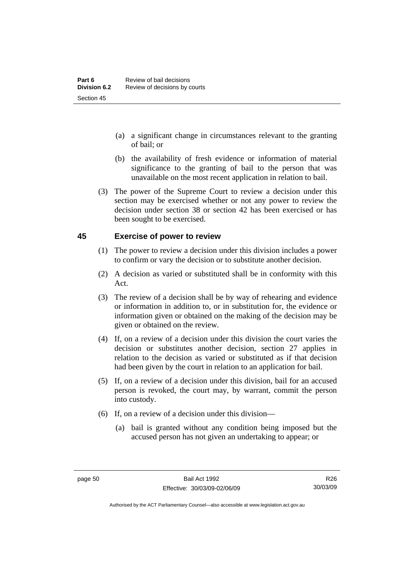- (a) a significant change in circumstances relevant to the granting of bail; or
- (b) the availability of fresh evidence or information of material significance to the granting of bail to the person that was unavailable on the most recent application in relation to bail.
- (3) The power of the Supreme Court to review a decision under this section may be exercised whether or not any power to review the decision under section 38 or section 42 has been exercised or has been sought to be exercised.

#### **45 Exercise of power to review**

- (1) The power to review a decision under this division includes a power to confirm or vary the decision or to substitute another decision.
- (2) A decision as varied or substituted shall be in conformity with this Act.
- (3) The review of a decision shall be by way of rehearing and evidence or information in addition to, or in substitution for, the evidence or information given or obtained on the making of the decision may be given or obtained on the review.
- (4) If, on a review of a decision under this division the court varies the decision or substitutes another decision, section 27 applies in relation to the decision as varied or substituted as if that decision had been given by the court in relation to an application for bail.
- (5) If, on a review of a decision under this division, bail for an accused person is revoked, the court may, by warrant, commit the person into custody.
- (6) If, on a review of a decision under this division—
	- (a) bail is granted without any condition being imposed but the accused person has not given an undertaking to appear; or

R26 30/03/09

Authorised by the ACT Parliamentary Counsel—also accessible at www.legislation.act.gov.au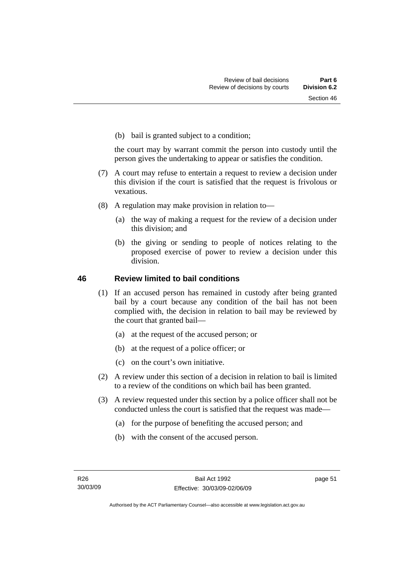(b) bail is granted subject to a condition;

the court may by warrant commit the person into custody until the person gives the undertaking to appear or satisfies the condition.

- (7) A court may refuse to entertain a request to review a decision under this division if the court is satisfied that the request is frivolous or vexatious.
- (8) A regulation may make provision in relation to—
	- (a) the way of making a request for the review of a decision under this division; and
	- (b) the giving or sending to people of notices relating to the proposed exercise of power to review a decision under this division.

#### **46 Review limited to bail conditions**

- (1) If an accused person has remained in custody after being granted bail by a court because any condition of the bail has not been complied with, the decision in relation to bail may be reviewed by the court that granted bail—
	- (a) at the request of the accused person; or
	- (b) at the request of a police officer; or
	- (c) on the court's own initiative.
- (2) A review under this section of a decision in relation to bail is limited to a review of the conditions on which bail has been granted.
- (3) A review requested under this section by a police officer shall not be conducted unless the court is satisfied that the request was made—
	- (a) for the purpose of benefiting the accused person; and
	- (b) with the consent of the accused person.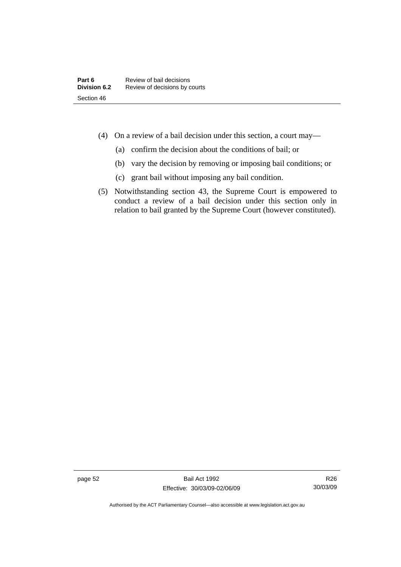- (4) On a review of a bail decision under this section, a court may—
	- (a) confirm the decision about the conditions of bail; or
	- (b) vary the decision by removing or imposing bail conditions; or
	- (c) grant bail without imposing any bail condition.
- (5) Notwithstanding section 43, the Supreme Court is empowered to conduct a review of a bail decision under this section only in relation to bail granted by the Supreme Court (however constituted).

page 52 Bail Act 1992 Effective: 30/03/09-02/06/09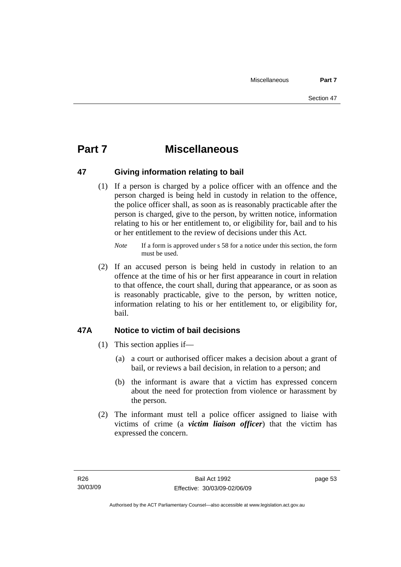# **Part 7 Miscellaneous**

#### **47 Giving information relating to bail**

 (1) If a person is charged by a police officer with an offence and the person charged is being held in custody in relation to the offence, the police officer shall, as soon as is reasonably practicable after the person is charged, give to the person, by written notice, information relating to his or her entitlement to, or eligibility for, bail and to his or her entitlement to the review of decisions under this Act.

 (2) If an accused person is being held in custody in relation to an offence at the time of his or her first appearance in court in relation to that offence, the court shall, during that appearance, or as soon as is reasonably practicable, give to the person, by written notice, information relating to his or her entitlement to, or eligibility for, bail.

### **47A Notice to victim of bail decisions**

- (1) This section applies if—
	- (a) a court or authorised officer makes a decision about a grant of bail, or reviews a bail decision, in relation to a person; and
	- (b) the informant is aware that a victim has expressed concern about the need for protection from violence or harassment by the person.
- (2) The informant must tell a police officer assigned to liaise with victims of crime (a *victim liaison officer*) that the victim has expressed the concern.

*Note* If a form is approved under s 58 for a notice under this section, the form must be used.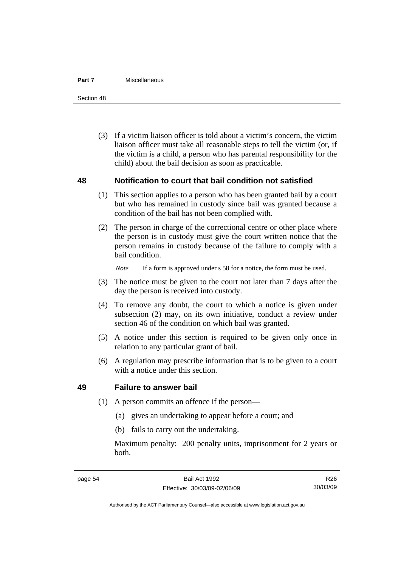#### **Part 7** Miscellaneous

Section 48

 (3) If a victim liaison officer is told about a victim's concern, the victim liaison officer must take all reasonable steps to tell the victim (or, if the victim is a child, a person who has parental responsibility for the child) about the bail decision as soon as practicable.

#### **48 Notification to court that bail condition not satisfied**

- (1) This section applies to a person who has been granted bail by a court but who has remained in custody since bail was granted because a condition of the bail has not been complied with.
- (2) The person in charge of the correctional centre or other place where the person is in custody must give the court written notice that the person remains in custody because of the failure to comply with a bail condition.

*Note* If a form is approved under s 58 for a notice, the form must be used.

- (3) The notice must be given to the court not later than 7 days after the day the person is received into custody.
- (4) To remove any doubt, the court to which a notice is given under subsection (2) may, on its own initiative, conduct a review under section 46 of the condition on which bail was granted.
- (5) A notice under this section is required to be given only once in relation to any particular grant of bail.
- (6) A regulation may prescribe information that is to be given to a court with a notice under this section.

#### **49 Failure to answer bail**

- (1) A person commits an offence if the person—
	- (a) gives an undertaking to appear before a court; and
	- (b) fails to carry out the undertaking.

Maximum penalty: 200 penalty units, imprisonment for 2 years or both.

R26 30/03/09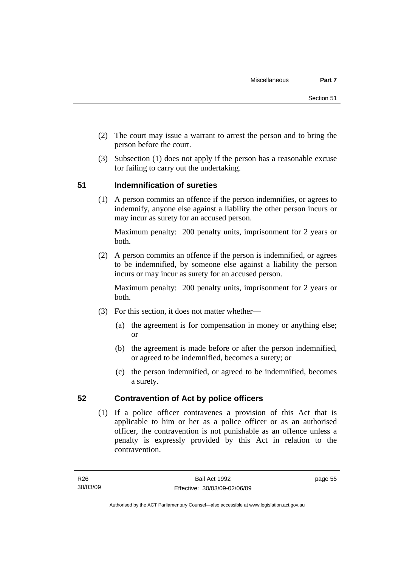- (2) The court may issue a warrant to arrest the person and to bring the person before the court.
- (3) Subsection (1) does not apply if the person has a reasonable excuse for failing to carry out the undertaking.

### **51 Indemnification of sureties**

 (1) A person commits an offence if the person indemnifies, or agrees to indemnify, anyone else against a liability the other person incurs or may incur as surety for an accused person.

Maximum penalty: 200 penalty units, imprisonment for 2 years or both.

 (2) A person commits an offence if the person is indemnified, or agrees to be indemnified, by someone else against a liability the person incurs or may incur as surety for an accused person.

Maximum penalty: 200 penalty units, imprisonment for 2 years or both.

- (3) For this section, it does not matter whether—
	- (a) the agreement is for compensation in money or anything else; or
	- (b) the agreement is made before or after the person indemnified, or agreed to be indemnified, becomes a surety; or
	- (c) the person indemnified, or agreed to be indemnified, becomes a surety.

### **52 Contravention of Act by police officers**

 (1) If a police officer contravenes a provision of this Act that is applicable to him or her as a police officer or as an authorised officer, the contravention is not punishable as an offence unless a penalty is expressly provided by this Act in relation to the contravention.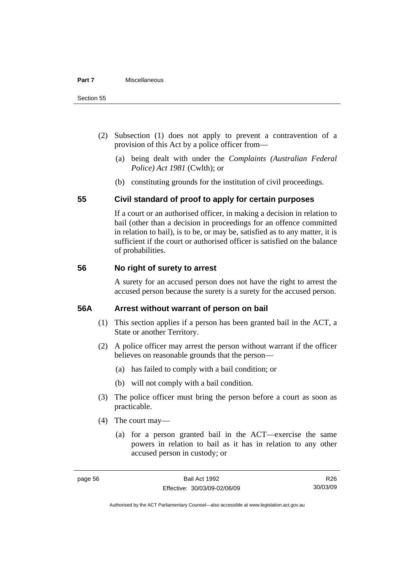- (2) Subsection (1) does not apply to prevent a contravention of a provision of this Act by a police officer from—
	- (a) being dealt with under the *Complaints (Australian Federal Police) Act 1981* (Cwlth); or
	- (b) constituting grounds for the institution of civil proceedings.

#### **55 Civil standard of proof to apply for certain purposes**

If a court or an authorised officer, in making a decision in relation to bail (other than a decision in proceedings for an offence committed in relation to bail), is to be, or may be, satisfied as to any matter, it is sufficient if the court or authorised officer is satisfied on the balance of probabilities.

#### **56 No right of surety to arrest**

A surety for an accused person does not have the right to arrest the accused person because the surety is a surety for the accused person.

#### **56A Arrest without warrant of person on bail**

- (1) This section applies if a person has been granted bail in the ACT, a State or another Territory.
- (2) A police officer may arrest the person without warrant if the officer believes on reasonable grounds that the person—
	- (a) has failed to comply with a bail condition; or
	- (b) will not comply with a bail condition.
- (3) The police officer must bring the person before a court as soon as practicable.
- (4) The court may—
	- (a) for a person granted bail in the ACT—exercise the same powers in relation to bail as it has in relation to any other accused person in custody; or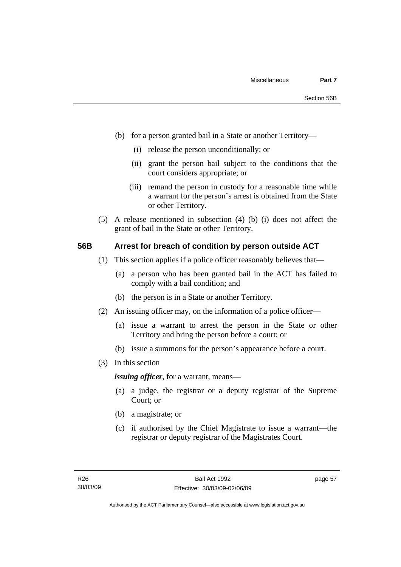- (b) for a person granted bail in a State or another Territory—
	- (i) release the person unconditionally; or
	- (ii) grant the person bail subject to the conditions that the court considers appropriate; or
	- (iii) remand the person in custody for a reasonable time while a warrant for the person's arrest is obtained from the State or other Territory.
- (5) A release mentioned in subsection (4) (b) (i) does not affect the grant of bail in the State or other Territory.

#### **56B Arrest for breach of condition by person outside ACT**

- (1) This section applies if a police officer reasonably believes that—
	- (a) a person who has been granted bail in the ACT has failed to comply with a bail condition; and
	- (b) the person is in a State or another Territory.
- (2) An issuing officer may, on the information of a police officer—
	- (a) issue a warrant to arrest the person in the State or other Territory and bring the person before a court; or
	- (b) issue a summons for the person's appearance before a court.
- (3) In this section

*issuing officer*, for a warrant, means—

- (a) a judge, the registrar or a deputy registrar of the Supreme Court; or
- (b) a magistrate; or
- (c) if authorised by the Chief Magistrate to issue a warrant—the registrar or deputy registrar of the Magistrates Court.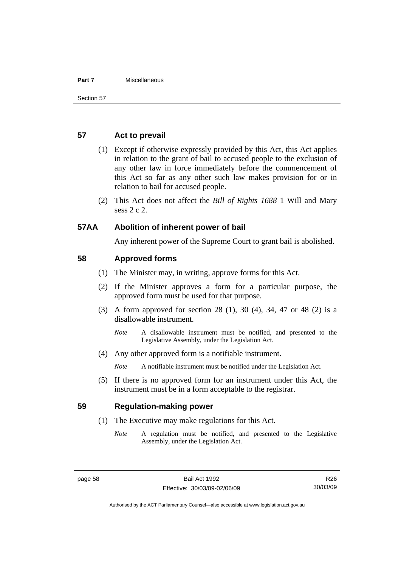#### **Part 7** Miscellaneous

#### **57 Act to prevail**

- (1) Except if otherwise expressly provided by this Act, this Act applies in relation to the grant of bail to accused people to the exclusion of any other law in force immediately before the commencement of this Act so far as any other such law makes provision for or in relation to bail for accused people.
- (2) This Act does not affect the *Bill of Rights 1688* 1 Will and Mary sess 2 c 2.

#### **57AA Abolition of inherent power of bail**

Any inherent power of the Supreme Court to grant bail is abolished.

#### **58 Approved forms**

- (1) The Minister may, in writing, approve forms for this Act.
- (2) If the Minister approves a form for a particular purpose, the approved form must be used for that purpose.
- (3) A form approved for section 28 (1), 30 (4), 34, 47 or 48 (2) is a disallowable instrument.
	- *Note* A disallowable instrument must be notified, and presented to the Legislative Assembly, under the Legislation Act.
- (4) Any other approved form is a notifiable instrument.

*Note* A notifiable instrument must be notified under the Legislation Act.

 (5) If there is no approved form for an instrument under this Act, the instrument must be in a form acceptable to the registrar.

#### **59 Regulation-making power**

- (1) The Executive may make regulations for this Act.
	- *Note* A regulation must be notified, and presented to the Legislative Assembly, under the Legislation Act.

R26 30/03/09

Authorised by the ACT Parliamentary Counsel—also accessible at www.legislation.act.gov.au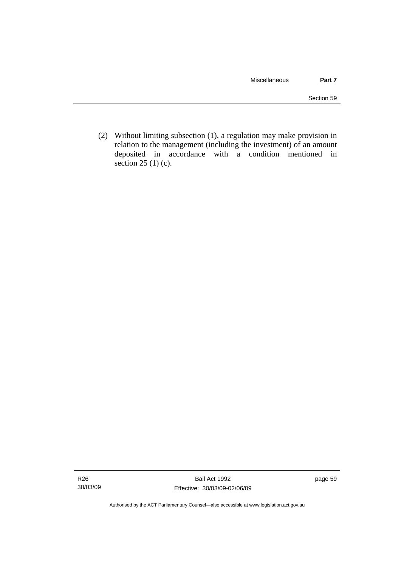(2) Without limiting subsection (1), a regulation may make provision in relation to the management (including the investment) of an amount deposited in accordance with a condition mentioned in section 25 (1) (c).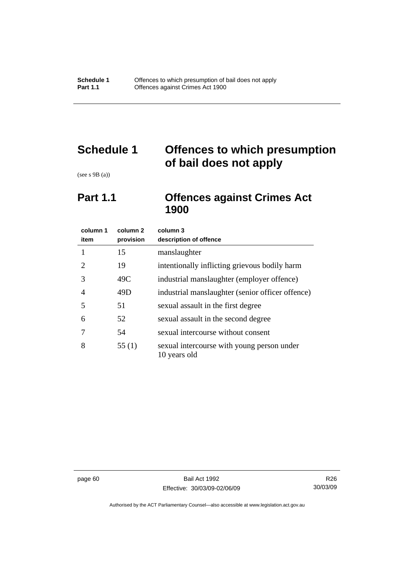# **Schedule 1 Offences to which presumption of bail does not apply**

(see s 9B (a))

# **Part 1.1 Offences against Crimes Act 1900**

| column 1<br>item            | column 2<br>provision | column 3<br>description of offence                         |
|-----------------------------|-----------------------|------------------------------------------------------------|
| 1                           | 15                    | manslaughter                                               |
| $\mathcal{D}_{\mathcal{L}}$ | 19                    | intentionally inflicting grievous bodily harm              |
| 3                           | 49C                   | industrial manslaughter (employer offence)                 |
| 4                           | 49D                   | industrial manslaughter (senior officer offence)           |
| 5                           | 51                    | sexual assault in the first degree                         |
| 6                           | 52                    | sexual assault in the second degree                        |
|                             | 54                    | sexual intercourse without consent                         |
| 8                           | 55(1)                 | sexual intercourse with young person under<br>10 years old |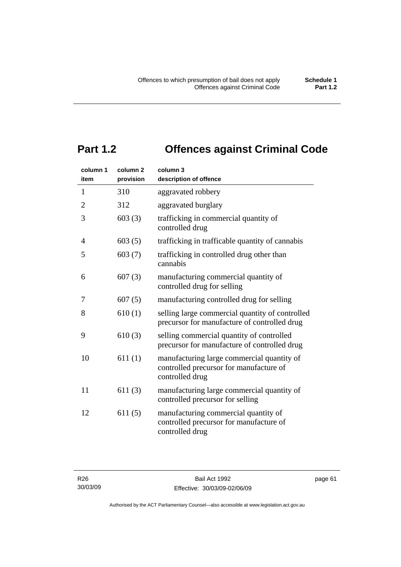# **Part 1.2 Offences against Criminal Code**

| column 1<br>item | column <sub>2</sub><br>provision | column 3<br>description of offence                                                                       |
|------------------|----------------------------------|----------------------------------------------------------------------------------------------------------|
| $\mathbf{1}$     | 310                              | aggravated robbery                                                                                       |
| $\overline{2}$   | 312                              | aggravated burglary                                                                                      |
| 3                | 603(3)                           | trafficking in commercial quantity of<br>controlled drug                                                 |
| 4                | 603(5)                           | trafficking in trafficable quantity of cannabis                                                          |
| 5                | 603(7)                           | trafficking in controlled drug other than<br>cannabis                                                    |
| 6                | 607(3)                           | manufacturing commercial quantity of<br>controlled drug for selling                                      |
| 7                | 607(5)                           | manufacturing controlled drug for selling                                                                |
| 8                | 610(1)                           | selling large commercial quantity of controlled<br>precursor for manufacture of controlled drug          |
| 9                | 610(3)                           | selling commercial quantity of controlled<br>precursor for manufacture of controlled drug                |
| 10               | 611(1)                           | manufacturing large commercial quantity of<br>controlled precursor for manufacture of<br>controlled drug |
| 11               | 611(3)                           | manufacturing large commercial quantity of<br>controlled precursor for selling                           |
| 12               | 611(5)                           | manufacturing commercial quantity of<br>controlled precursor for manufacture of<br>controlled drug       |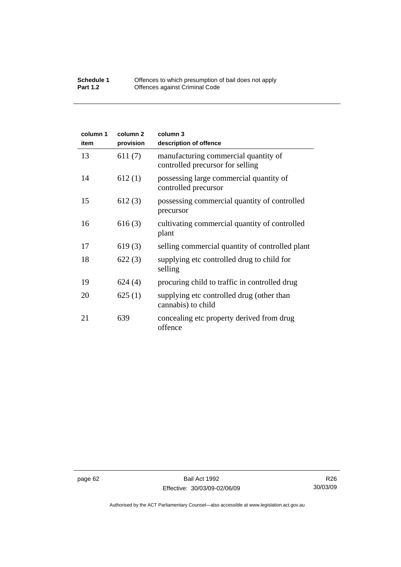#### **Schedule 1** Offences to which presumption of bail does not apply **Part 1.2 C** Offences against Criminal Code

| column 1<br>item | column <sub>2</sub><br>provision | column 3<br>description of offence                                       |
|------------------|----------------------------------|--------------------------------------------------------------------------|
| 13               | 611(7)                           | manufacturing commercial quantity of<br>controlled precursor for selling |
| 14               | 612(1)                           | possessing large commercial quantity of<br>controlled precursor          |
| 15               | 612(3)                           | possessing commercial quantity of controlled<br>precursor                |
| 16               | 616(3)                           | cultivating commercial quantity of controlled<br>plant                   |
| 17               | 619(3)                           | selling commercial quantity of controlled plant                          |
| 18               | 622(3)                           | supplying etc controlled drug to child for<br>selling                    |
| 19               | 624(4)                           | procuring child to traffic in controlled drug                            |
| 20               | 625(1)                           | supplying etc controlled drug (other than<br>cannabis) to child          |
| 21               | 639                              | concealing etc property derived from drug<br>offence                     |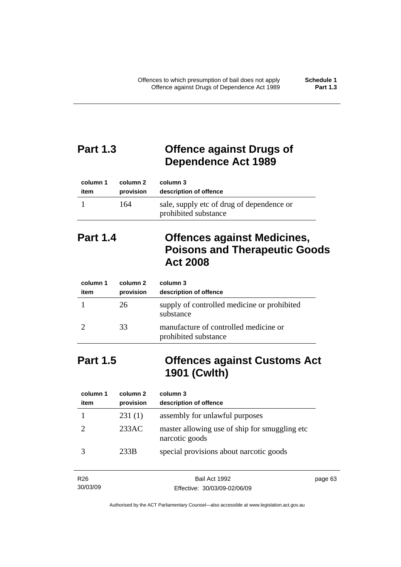# **Part 1.3 Offence against Drugs of Dependence Act 1989**

| column 1 | column 2  | column 3                                                          |
|----------|-----------|-------------------------------------------------------------------|
| item     | provision | description of offence                                            |
|          | 164       | sale, supply etc of drug of dependence or<br>prohibited substance |

# **Part 1.4 Offences against Medicines, Poisons and Therapeutic Goods Act 2008**

| column 1<br>item | column 2<br>provision | column 3<br>description of offence                            |
|------------------|-----------------------|---------------------------------------------------------------|
|                  | 26                    | supply of controlled medicine or prohibited<br>substance      |
|                  | 33                    | manufacture of controlled medicine or<br>prohibited substance |

# **Part 1.5 Offences against Customs Act 1901 (Cwlth)**

| column 1<br>item | column 2<br>provision | column 3<br>description of offence                               |
|------------------|-----------------------|------------------------------------------------------------------|
|                  | 231(1)                | assembly for unlawful purposes                                   |
|                  | 233AC                 | master allowing use of ship for smuggling etc.<br>narcotic goods |
|                  | 233B                  | special provisions about narcotic goods                          |

| R <sub>26</sub> | Bail Act 1992                | page 63 |
|-----------------|------------------------------|---------|
| 30/03/09        | Effective: 30/03/09-02/06/09 |         |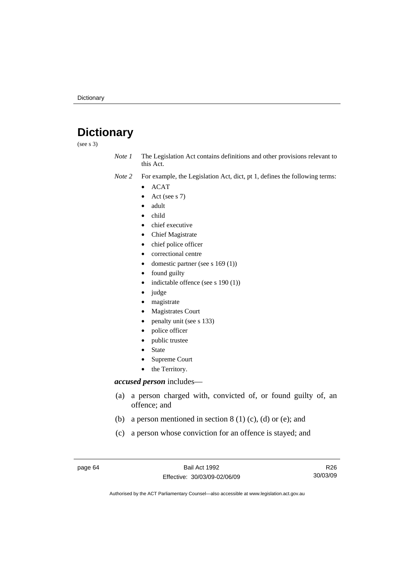# **Dictionary**

(see s 3)

*Note 1* The Legislation Act contains definitions and other provisions relevant to this Act.

*Note 2* For example, the Legislation Act, dict, pt 1, defines the following terms:

- ACAT
	- Act (see s 7)
	- adult
- child
- chief executive
- Chief Magistrate
- chief police officer
- correctional centre
- domestic partner (see s 169 (1))
- found guilty
- indictable offence (see s 190 (1))
- judge
- magistrate
- Magistrates Court
- penalty unit (see s 133)
- police officer
- public trustee
- **State**
- Supreme Court
- the Territory.

#### *accused person* includes—

- (a) a person charged with, convicted of, or found guilty of, an offence; and
- (b) a person mentioned in section  $8(1)(c)$ , (d) or (e); and
- (c) a person whose conviction for an offence is stayed; and

page 64 Bail Act 1992 Effective: 30/03/09-02/06/09

R26 30/03/09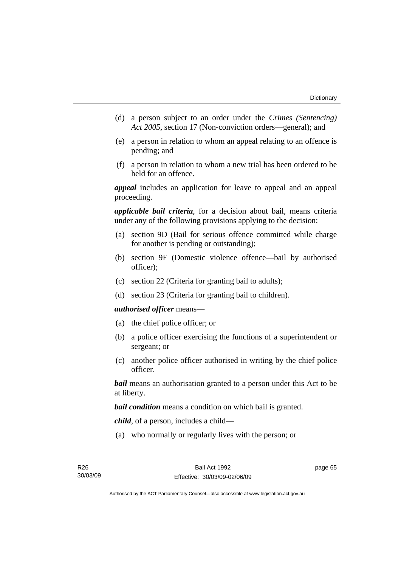- (d) a person subject to an order under the *Crimes (Sentencing) Act 2005*, section 17 (Non-conviction orders—general); and
- (e) a person in relation to whom an appeal relating to an offence is pending; and
- (f) a person in relation to whom a new trial has been ordered to be held for an offence.

*appeal* includes an application for leave to appeal and an appeal proceeding.

*applicable bail criteria*, for a decision about bail, means criteria under any of the following provisions applying to the decision:

- (a) section 9D (Bail for serious offence committed while charge for another is pending or outstanding);
- (b) section 9F (Domestic violence offence—bail by authorised officer);
- (c) section 22 (Criteria for granting bail to adults);
- (d) section 23 (Criteria for granting bail to children).

#### *authorised officer* means—

- (a) the chief police officer; or
- (b) a police officer exercising the functions of a superintendent or sergeant; or
- (c) another police officer authorised in writing by the chief police officer.

*bail* means an authorisation granted to a person under this Act to be at liberty.

*bail condition* means a condition on which bail is granted.

*child*, of a person, includes a child—

(a) who normally or regularly lives with the person; or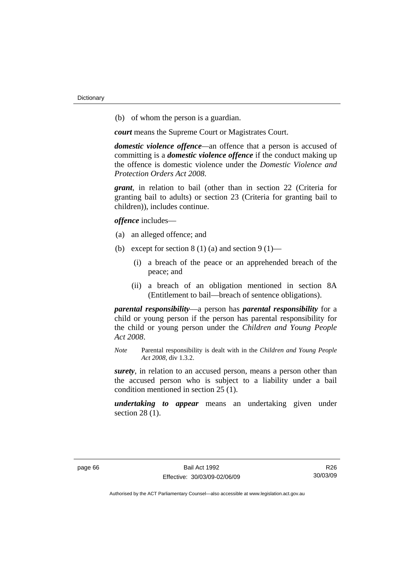(b) of whom the person is a guardian.

*court* means the Supreme Court or Magistrates Court.

*domestic violence offence—*an offence that a person is accused of committing is a *domestic violence offence* if the conduct making up the offence is domestic violence under the *Domestic Violence and Protection Orders Act 2008*.

*grant*, in relation to bail (other than in section 22 (Criteria for granting bail to adults) or section 23 (Criteria for granting bail to children)), includes continue.

*offence* includes—

- (a) an alleged offence; and
- (b) except for section  $8(1)(a)$  and section  $9(1)$ 
	- (i) a breach of the peace or an apprehended breach of the peace; and
	- (ii) a breach of an obligation mentioned in section 8A (Entitlement to bail—breach of sentence obligations).

*parental responsibility*—a person has *parental responsibility* for a child or young person if the person has parental responsibility for the child or young person under the *Children and Young People Act 2008*.

*Note* Parental responsibility is dealt with in the *Children and Young People Act 2008*, div 1.3.2.

*surety*, in relation to an accused person, means a person other than the accused person who is subject to a liability under a bail condition mentioned in section 25 (1).

*undertaking to appear* means an undertaking given under section 28 (1).

R26 30/03/09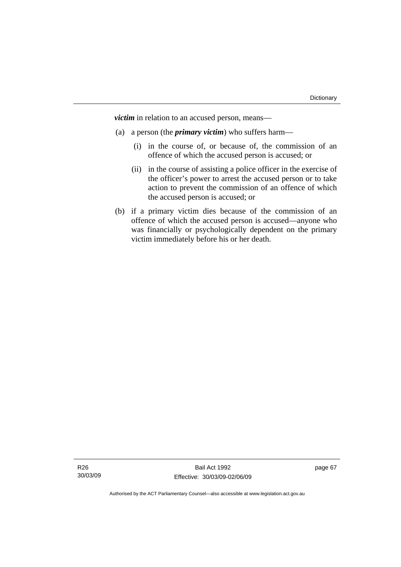*victim* in relation to an accused person, means—

- (a) a person (the *primary victim*) who suffers harm—
	- (i) in the course of, or because of, the commission of an offence of which the accused person is accused; or
	- (ii) in the course of assisting a police officer in the exercise of the officer's power to arrest the accused person or to take action to prevent the commission of an offence of which the accused person is accused; or
- (b) if a primary victim dies because of the commission of an offence of which the accused person is accused—anyone who was financially or psychologically dependent on the primary victim immediately before his or her death.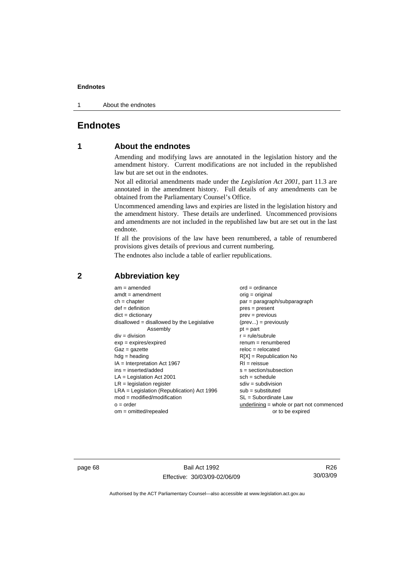1 About the endnotes

# **Endnotes**

# **1 About the endnotes**

Amending and modifying laws are annotated in the legislation history and the amendment history. Current modifications are not included in the republished law but are set out in the endnotes.

Not all editorial amendments made under the *Legislation Act 2001*, part 11.3 are annotated in the amendment history. Full details of any amendments can be obtained from the Parliamentary Counsel's Office.

Uncommenced amending laws and expiries are listed in the legislation history and the amendment history. These details are underlined. Uncommenced provisions and amendments are not included in the republished law but are set out in the last endnote.

If all the provisions of the law have been renumbered, a table of renumbered provisions gives details of previous and current numbering.

The endnotes also include a table of earlier republications.

| $am = amended$                               | $ord = ordinance$                         |
|----------------------------------------------|-------------------------------------------|
| $amdt = amendment$                           | $orig = original$                         |
| $ch = chapter$                               | $par = paragraph/subparagraph$            |
| $def = definition$                           | $pres = present$                          |
| $dict = dictionary$                          | $prev = previous$                         |
| disallowed = disallowed by the Legislative   | $(\text{prev}) = \text{previously}$       |
| Assembly                                     | $pt = part$                               |
| $div = division$                             | $r = rule/subrule$                        |
| $exp = expires/expired$                      | $renum = renumbered$                      |
| $Gaz = gazette$                              | $reloc = relocated$                       |
| $hdg =$ heading                              | $R[X]$ = Republication No                 |
| $IA = Interpretation Act 1967$               | $RI = reissue$                            |
| $ins = inserted/added$                       | $s = section/subsection$                  |
| $LA =$ Legislation Act 2001                  | $sch = schedule$                          |
| $LR =$ legislation register                  | $sdiv = subdivision$                      |
| $LRA =$ Legislation (Republication) Act 1996 | $sub = substituted$                       |
| $mod = modified/modification$                | SL = Subordinate Law                      |
| $o = order$                                  | underlining = whole or part not commenced |
| $om = omitted/report$                        | or to be expired                          |
|                                              |                                           |

# **2 Abbreviation key**

page 68 Bail Act 1992 Effective: 30/03/09-02/06/09

R26 30/03/09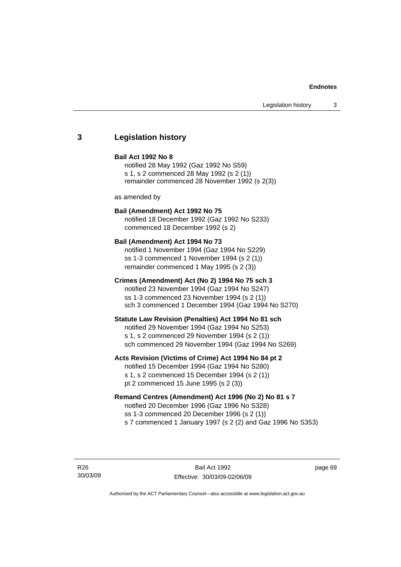# **3 Legislation history**

## **Bail Act 1992 No 8**

notified 28 May 1992 (Gaz 1992 No S59) s 1, s 2 commenced 28 May 1992 (s 2 (1)) remainder commenced 28 November 1992 (s 2(3))

as amended by

## **Bail (Amendment) Act 1992 No 75**

notified 18 December 1992 (Gaz 1992 No S233) commenced 18 December 1992 (s 2)

#### **Bail (Amendment) Act 1994 No 73**

notified 1 November 1994 (Gaz 1994 No S229) ss 1-3 commenced 1 November 1994 (s 2 (1)) remainder commenced 1 May 1995 (s 2 (3))

### **Crimes (Amendment) Act (No 2) 1994 No 75 sch 3**

notified 23 November 1994 (Gaz 1994 No S247) ss 1-3 commenced 23 November 1994 (s 2 (1)) sch 3 commenced 1 December 1994 (Gaz 1994 No S270)

#### **Statute Law Revision (Penalties) Act 1994 No 81 sch**

notified 29 November 1994 (Gaz 1994 No S253) s 1, s 2 commenced 29 November 1994 (s 2 (1)) sch commenced 29 November 1994 (Gaz 1994 No S269)

### **Acts Revision (Victims of Crime) Act 1994 No 84 pt 2**

notified 15 December 1994 (Gaz 1994 No S280) s 1, s 2 commenced 15 December 1994 (s 2 (1)) pt 2 commenced 15 June 1995 (s 2 (3))

## **Remand Centres (Amendment) Act 1996 (No 2) No 81 s 7**

notified 20 December 1996 (Gaz 1996 No S328) ss 1-3 commenced 20 December 1996 (s 2 (1)) s 7 commenced 1 January 1997 (s 2 (2) and Gaz 1996 No S353)

R26 30/03/09

Bail Act 1992 Effective: 30/03/09-02/06/09 page 69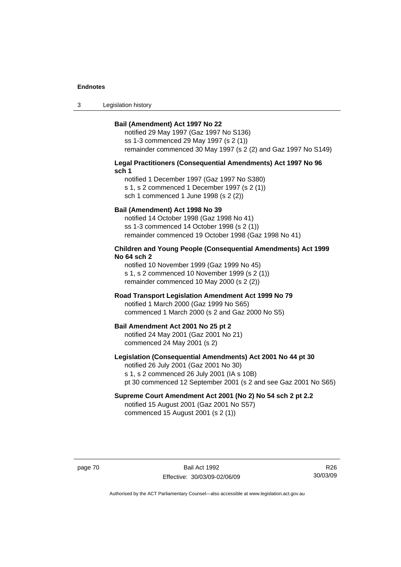3 Legislation history

#### **Bail (Amendment) Act 1997 No 22**

notified 29 May 1997 (Gaz 1997 No S136) ss 1-3 commenced 29 May 1997 (s 2 (1)) remainder commenced 30 May 1997 (s 2 (2) and Gaz 1997 No S149)

#### **Legal Practitioners (Consequential Amendments) Act 1997 No 96 sch 1**

notified 1 December 1997 (Gaz 1997 No S380) s 1, s 2 commenced 1 December 1997 (s 2 (1)) sch 1 commenced 1 June 1998 (s 2 (2))

## **Bail (Amendment) Act 1998 No 39**

notified 14 October 1998 (Gaz 1998 No 41) ss 1-3 commenced 14 October 1998 (s 2 (1)) remainder commenced 19 October 1998 (Gaz 1998 No 41)

## **Children and Young People (Consequential Amendments) Act 1999 No 64 sch 2**

notified 10 November 1999 (Gaz 1999 No 45) s 1, s 2 commenced 10 November 1999 (s 2 (1)) remainder commenced 10 May 2000 (s 2 (2))

## **Road Transport Legislation Amendment Act 1999 No 79**

notified 1 March 2000 (Gaz 1999 No S65) commenced 1 March 2000 (s 2 and Gaz 2000 No S5)

#### **Bail Amendment Act 2001 No 25 pt 2**

notified 24 May 2001 (Gaz 2001 No 21) commenced 24 May 2001 (s 2)

## **Legislation (Consequential Amendments) Act 2001 No 44 pt 30**

notified 26 July 2001 (Gaz 2001 No 30) s 1, s 2 commenced 26 July 2001 (IA s 10B) pt 30 commenced 12 September 2001 (s 2 and see Gaz 2001 No S65)

# **Supreme Court Amendment Act 2001 (No 2) No 54 sch 2 pt 2.2**

notified 15 August 2001 (Gaz 2001 No S57) commenced 15 August 2001 (s 2 (1))

page 70 Bail Act 1992 Effective: 30/03/09-02/06/09

R26 30/03/09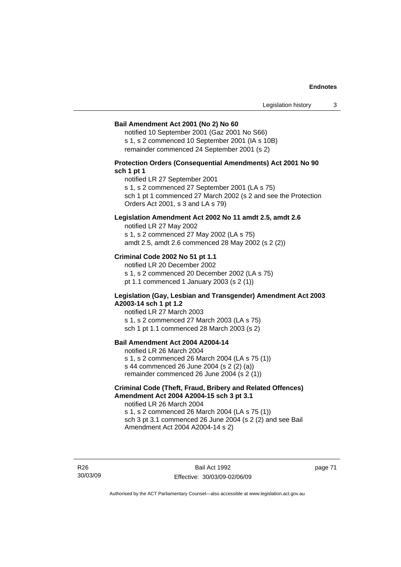#### **Bail Amendment Act 2001 (No 2) No 60**

notified 10 September 2001 (Gaz 2001 No S66) s 1, s 2 commenced 10 September 2001 (IA s 10B) remainder commenced 24 September 2001 (s 2)

## **Protection Orders (Consequential Amendments) Act 2001 No 90 sch 1 pt 1**

notified LR 27 September 2001

s 1, s 2 commenced 27 September 2001 (LA s 75)

sch 1 pt 1 commenced 27 March 2002 (s 2 and see the Protection Orders Act 2001, s 3 and LA s 79)

## **Legislation Amendment Act 2002 No 11 amdt 2.5, amdt 2.6**

notified LR 27 May 2002 s 1, s 2 commenced 27 May 2002 (LA s 75) amdt 2.5, amdt 2.6 commenced 28 May 2002 (s 2 (2))

## **Criminal Code 2002 No 51 pt 1.1**

notified LR 20 December 2002 s 1, s 2 commenced 20 December 2002 (LA s 75) pt 1.1 commenced 1 January 2003 (s 2 (1))

#### **Legislation (Gay, Lesbian and Transgender) Amendment Act 2003 A2003-14 sch 1 pt 1.2**

notified LR 27 March 2003 s 1, s 2 commenced 27 March 2003 (LA s 75) sch 1 pt 1.1 commenced 28 March 2003 (s 2)

# **Bail Amendment Act 2004 A2004-14**

notified LR 26 March 2004 s 1, s 2 commenced 26 March 2004 (LA s 75 (1)) s 44 commenced 26 June 2004 (s 2 (2) (a)) remainder commenced 26 June 2004 (s 2 (1))

## **Criminal Code (Theft, Fraud, Bribery and Related Offences) Amendment Act 2004 A2004-15 sch 3 pt 3.1**

notified LR 26 March 2004 s 1, s 2 commenced 26 March 2004 (LA s 75 (1)) sch 3 pt 3.1 commenced 26 June 2004 (s 2 (2) and see Bail Amendment Act 2004 A2004-14 s 2)

R26 30/03/09

Bail Act 1992 Effective: 30/03/09-02/06/09 page 71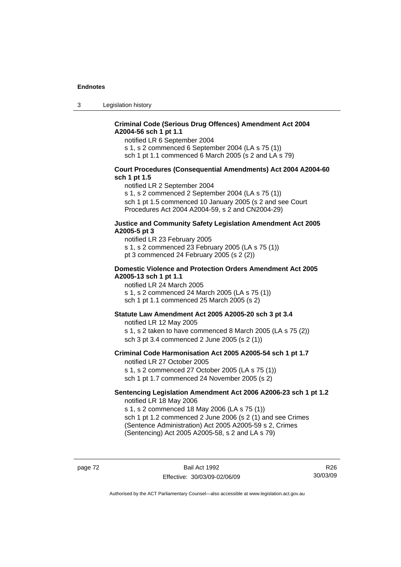3 Legislation history

## **Criminal Code (Serious Drug Offences) Amendment Act 2004 A2004-56 sch 1 pt 1.1**

notified LR 6 September 2004

s 1, s 2 commenced 6 September 2004 (LA s 75 (1))

sch 1 pt 1.1 commenced 6 March 2005 (s 2 and LA s 79)

## **Court Procedures (Consequential Amendments) Act 2004 A2004-60 sch 1 pt 1.5**

notified LR 2 September 2004

s 1, s 2 commenced 2 September 2004 (LA s 75 (1)) sch 1 pt 1.5 commenced 10 January 2005 (s 2 and see Court Procedures Act 2004 A2004-59, s 2 and CN2004-29)

#### **Justice and Community Safety Legislation Amendment Act 2005 A2005-5 pt 3**

notified LR 23 February 2005 s 1, s 2 commenced 23 February 2005 (LA s 75 (1)) pt 3 commenced 24 February 2005 (s 2 (2))

#### **Domestic Violence and Protection Orders Amendment Act 2005 A2005-13 sch 1 pt 1.1**

notified LR 24 March 2005 s 1, s 2 commenced 24 March 2005 (LA s 75 (1)) sch 1 pt 1.1 commenced 25 March 2005 (s 2)

## **Statute Law Amendment Act 2005 A2005-20 sch 3 pt 3.4**

notified LR 12 May 2005 s 1, s 2 taken to have commenced 8 March 2005 (LA s 75 (2)) sch 3 pt 3.4 commenced 2 June 2005 (s 2 (1))

#### **Criminal Code Harmonisation Act 2005 A2005-54 sch 1 pt 1.7**  notified LR 27 October 2005

s 1, s 2 commenced 27 October 2005 (LA s 75 (1)) sch 1 pt 1.7 commenced 24 November 2005 (s 2)

#### **Sentencing Legislation Amendment Act 2006 A2006-23 sch 1 pt 1.2**  notified LR 18 May 2006

s 1, s 2 commenced 18 May 2006 (LA s 75 (1)) sch 1 pt 1.2 commenced 2 June 2006 (s 2 (1) and see Crimes (Sentence Administration) Act 2005 A2005-59 s 2, Crimes

(Sentencing) Act 2005 A2005-58, s 2 and LA s 79)

page 72 Bail Act 1992 Effective: 30/03/09-02/06/09

R26 30/03/09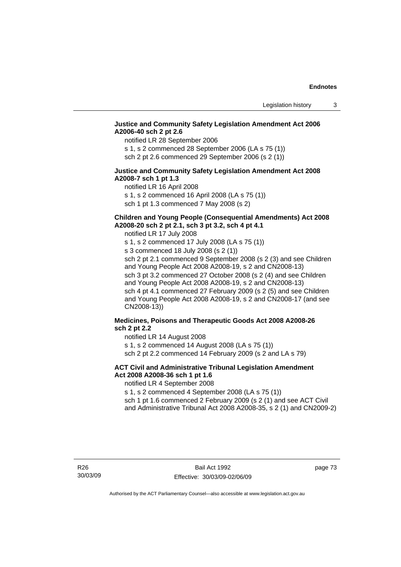## **Justice and Community Safety Legislation Amendment Act 2006 A2006-40 sch 2 pt 2.6**

notified LR 28 September 2006

s 1, s 2 commenced 28 September 2006 (LA s 75 (1)) sch 2 pt 2.6 commenced 29 September 2006 (s 2 (1))

## **Justice and Community Safety Legislation Amendment Act 2008 A2008-7 sch 1 pt 1.3**

notified LR 16 April 2008 s 1, s 2 commenced 16 April 2008 (LA s 75 (1)) sch 1 pt 1.3 commenced 7 May 2008 (s 2)

# **Children and Young People (Consequential Amendments) Act 2008**

**A2008-20 sch 2 pt 2.1, sch 3 pt 3.2, sch 4 pt 4.1** 

notified LR 17 July 2008

s 1, s 2 commenced 17 July 2008 (LA s 75 (1)) s 3 commenced 18 July 2008 (s 2 (1)) sch 2 pt 2.1 commenced 9 September 2008 (s 2 (3) and see Children and Young People Act 2008 A2008-19, s 2 and CN2008-13) sch 3 pt 3.2 commenced 27 October 2008 (s 2 (4) and see Children and Young People Act 2008 A2008-19, s 2 and CN2008-13) sch 4 pt 4.1 commenced 27 February 2009 (s 2 (5) and see Children and Young People Act 2008 A2008-19, s 2 and CN2008-17 (and see CN2008-13))

# **Medicines, Poisons and Therapeutic Goods Act 2008 A2008-26 sch 2 pt 2.2**

notified LR 14 August 2008 s 1, s 2 commenced 14 August 2008 (LA s 75 (1))

sch 2 pt 2.2 commenced 14 February 2009 (s 2 and LA s 79)

# **ACT Civil and Administrative Tribunal Legislation Amendment Act 2008 A2008-36 sch 1 pt 1.6**

notified LR 4 September 2008

s 1, s 2 commenced 4 September 2008 (LA s 75 (1))

sch 1 pt 1.6 commenced 2 February 2009 (s 2 (1) and see ACT Civil and Administrative Tribunal Act 2008 A2008-35, s 2 (1) and CN2009-2)

page 73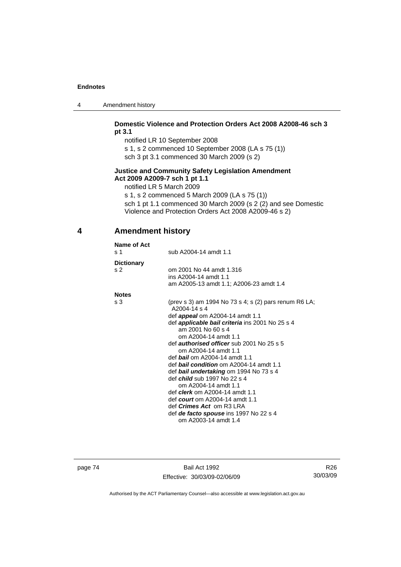| 4 | Amendment history |
|---|-------------------|
|---|-------------------|

## **Domestic Violence and Protection Orders Act 2008 A2008-46 sch 3 pt 3.1**

notified LR 10 September 2008

s 1, s 2 commenced 10 September 2008 (LA s 75 (1))

sch 3 pt 3.1 commenced 30 March 2009 (s 2)

# **Justice and Community Safety Legislation Amendment Act 2009 A2009-7 sch 1 pt 1.1**

notified LR 5 March 2009

s 1, s 2 commenced 5 March 2009 (LA s 75 (1)) sch 1 pt 1.1 commenced 30 March 2009 (s 2 (2) and see Domestic Violence and Protection Orders Act 2008 A2009-46 s 2)

# **4 Amendment history**

| Name of Act<br>s <sub>1</sub>       | sub A2004-14 amdt 1.1                                                                                                                                                                                                                                                                                                                                                                                                                                                                                                                                                                                                                                                                        |
|-------------------------------------|----------------------------------------------------------------------------------------------------------------------------------------------------------------------------------------------------------------------------------------------------------------------------------------------------------------------------------------------------------------------------------------------------------------------------------------------------------------------------------------------------------------------------------------------------------------------------------------------------------------------------------------------------------------------------------------------|
| <b>Dictionary</b><br>s <sub>2</sub> | om 2001 No 44 amdt 1.316<br>ins A2004-14 amdt 1.1<br>am A2005-13 amdt 1.1; A2006-23 amdt 1.4                                                                                                                                                                                                                                                                                                                                                                                                                                                                                                                                                                                                 |
| <b>Notes</b>                        |                                                                                                                                                                                                                                                                                                                                                                                                                                                                                                                                                                                                                                                                                              |
| s 3                                 | (prev s 3) am 1994 No 73 s 4; s (2) pars renum R6 LA;<br>A2004-14 s 4<br>def <b>appeal</b> om A2004-14 amdt 1.1<br>def applicable bail criteria ins 2001 No 25 s 4<br>am 2001 No 60 s 4<br>om A2004-14 amdt 1.1<br>def <i>authorised officer</i> sub 2001 No 25 s 5<br>om A2004-14 amdt 1.1<br>def <b>bail</b> om A2004-14 amdt 1.1<br>def <b>bail condition</b> om A2004-14 amdt 1.1<br>def bail undertaking om 1994 No 73 s 4<br>def <i>child</i> sub 1997 No 22 s 4<br>om A2004-14 amdt 1.1<br>def <b>clerk</b> om A2004-14 amdt 1.1<br>def <i>court</i> om A2004-14 amdt 1.1<br>def <i>Crimes Act</i> om R3 LRA<br>def <i>de facto spouse</i> ins 1997 No 22 s 4<br>om A2003-14 amdt 1.4 |

page 74 Bail Act 1992 Effective: 30/03/09-02/06/09

R26 30/03/09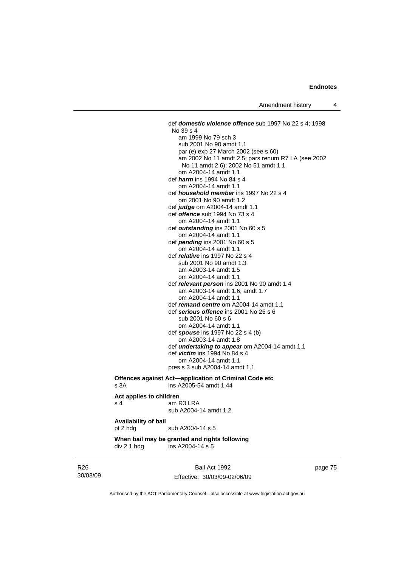def *domestic violence offence* sub 1997 No 22 s 4; 1998 No 39 s 4 am 1999 No 79 sch 3 sub 2001 No 90 amdt 1.1 par (e) exp 27 March 2002 (see s 60) am 2002 No 11 amdt 2.5; pars renum R7 LA (see 2002 No 11 amdt 2.6); 2002 No 51 amdt 1.1 om A2004-14 amdt 1.1 def *harm* ins 1994 No 84 s 4 om A2004-14 amdt 1.1 def *household member* ins 1997 No 22 s 4 om 2001 No 90 amdt 1.2 def *judge* om A2004-14 amdt 1.1 def *offence* sub 1994 No 73 s 4 om A2004-14 amdt 1.1 def *outstanding* ins 2001 No 60 s 5 om A2004-14 amdt 1.1 def *pending* ins 2001 No 60 s 5 om A2004-14 amdt 1.1 def *relative* ins 1997 No 22 s 4 sub 2001 No 90 amdt 1.3 am A2003-14 amdt 1.5 om A2004-14 amdt 1.1 def *relevant person* ins 2001 No 90 amdt 1.4 am A2003-14 amdt 1.6, amdt 1.7 om A2004-14 amdt 1.1 def *remand centre* om A2004-14 amdt 1.1 def *serious offence* ins 2001 No 25 s 6 sub 2001 No 60 s 6 om A2004-14 amdt 1.1 def *spouse* ins 1997 No 22 s 4 (b) om A2003-14 amdt 1.8 def *undertaking to appear* om A2004-14 amdt 1.1 def *victim* ins 1994 No 84 s 4 om A2004-14 amdt 1.1 pres s 3 sub A2004-14 amdt 1.1

#### **Offences against Act—application of Criminal Code etc**  s 3A ins A2005-54 amdt 1.44

# **Act applies to children**   $s$  4  $s$  4  $s$  4  $s$  4  $s$  4  $s$  5  $s$  4  $s$  5  $s$  4  $s$  5  $s$  5  $s$  6  $s$  5  $s$  6  $s$  6  $s$  6  $s$  6  $s$  6  $s$  6  $s$  6  $s$  6  $s$  6  $s$  6  $s$  6  $s$  6  $s$  6  $s$  6  $s$  6  $s$  6  $s$  6  $s$  6  $s$  6  $s$  6  $s$  6  $s$  6  $s$  6  $s$  6 sub A2004-14 amdt 1.2 **Availability of bail**

pt 2 hdg sub A2004-14 s 5

#### **When bail may be granted and rights following**   $div 2.1$  hdg  $ins A2004-14 s 5$

R26 30/03/09

Bail Act 1992 Effective: 30/03/09-02/06/09 page 75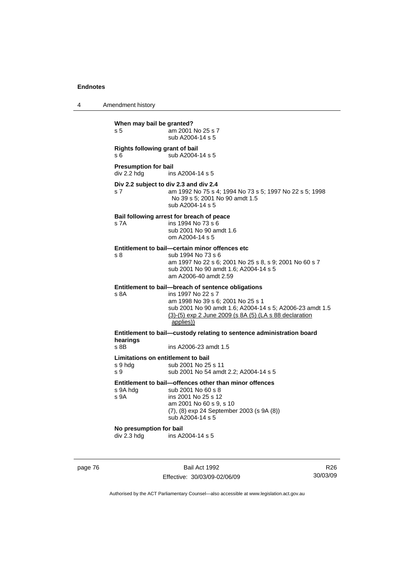| 4 | Amendment history |
|---|-------------------|
|---|-------------------|

| When may bail be granted?<br>s <sub>5</sub>                      | am 2001 No 25 s 7<br>sub A2004-14 s 5                                                                                                                                                                                                            |  |  |
|------------------------------------------------------------------|--------------------------------------------------------------------------------------------------------------------------------------------------------------------------------------------------------------------------------------------------|--|--|
| <b>Rights following grant of bail</b><br>s 6<br>sub A2004-14 s 5 |                                                                                                                                                                                                                                                  |  |  |
| <b>Presumption for bail</b><br>div 2.2 hdg                       | ins A2004-14 s 5                                                                                                                                                                                                                                 |  |  |
| s 7                                                              | Div 2.2 subject to div 2.3 and div 2.4<br>am 1992 No 75 s 4; 1994 No 73 s 5; 1997 No 22 s 5; 1998<br>No 39 s 5; 2001 No 90 amdt 1.5<br>sub A2004-14 s 5                                                                                          |  |  |
| s 7A                                                             | Bail following arrest for breach of peace<br>ins 1994 No 73 s 6<br>sub 2001 No 90 amdt 1.6<br>om A2004-14 s 5                                                                                                                                    |  |  |
| s 8                                                              | Entitlement to bail-certain minor offences etc<br>sub 1994 No 73 s 6<br>am 1997 No 22 s 6; 2001 No 25 s 8, s 9; 2001 No 60 s 7<br>sub 2001 No 90 amdt 1.6; A2004-14 s 5<br>am A2006-40 amdt 2.59                                                 |  |  |
| s 8A                                                             | Entitlement to bail-breach of sentence obligations<br>ins 1997 No 22 s 7<br>am 1998 No 39 s 6; 2001 No 25 s 1<br>sub 2001 No 90 amdt 1.6; A2004-14 s 5; A2006-23 amdt 1.5<br>(3)-(5) exp 2 June 2009 (s 8A (5) (LA s 88 declaration<br>applies)) |  |  |
| hearings                                                         | Entitlement to bail-custody relating to sentence administration board                                                                                                                                                                            |  |  |
| s 8B                                                             | ins A2006-23 amdt 1.5                                                                                                                                                                                                                            |  |  |
| Limitations on entitlement to bail<br>s 9 hdg<br>s 9             | sub 2001 No 25 s 11<br>sub 2001 No 54 amdt 2.2; A2004-14 s 5                                                                                                                                                                                     |  |  |
| s 9A hdg<br>s 9A                                                 | Entitlement to bail-offences other than minor offences<br>sub 2001 No 60 s 8<br>ins 2001 No 25 s 12<br>am 2001 No 60 s 9, s 10<br>(7), (8) exp 24 September 2003 (s 9A (8))<br>sub A2004-14 s 5                                                  |  |  |
| No presumption for bail<br>div 2.3 hdg                           | ins A2004-14 s 5                                                                                                                                                                                                                                 |  |  |

page 76 Bail Act 1992 Effective: 30/03/09-02/06/09

R26 30/03/09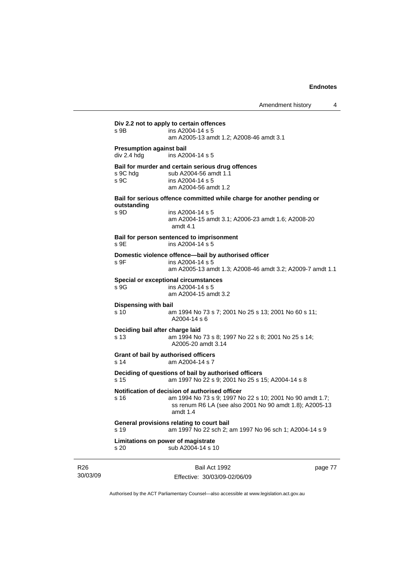|                                                | Bail Act 1992                                                                                                                                                                     | page 77 |
|------------------------------------------------|-----------------------------------------------------------------------------------------------------------------------------------------------------------------------------------|---------|
| s 20                                           | Limitations on power of magistrate<br>sub A2004-14 s 10                                                                                                                           |         |
| s 19                                           | General provisions relating to court bail<br>am 1997 No 22 sch 2; am 1997 No 96 sch 1; A2004-14 s 9                                                                               |         |
| s 16                                           | Notification of decision of authorised officer<br>am 1994 No 73 s 9; 1997 No 22 s 10; 2001 No 90 amdt 1.7;<br>ss renum R6 LA (see also 2001 No 90 amdt 1.8); A2005-13<br>amdt 1.4 |         |
| s 15                                           | Deciding of questions of bail by authorised officers<br>am 1997 No 22 s 9; 2001 No 25 s 15; A2004-14 s 8                                                                          |         |
| s 14                                           | Grant of bail by authorised officers<br>am A2004-14 s 7                                                                                                                           |         |
| Deciding bail after charge laid<br>s 13        | am 1994 No 73 s 8; 1997 No 22 s 8; 2001 No 25 s 14;<br>A2005-20 amdt 3.14                                                                                                         |         |
| <b>Dispensing with bail</b><br>s 10            | am 1994 No 73 s 7; 2001 No 25 s 13; 2001 No 60 s 11;<br>A2004-14 s 6                                                                                                              |         |
| s 9G                                           | <b>Special or exceptional circumstances</b><br>ins A2004-14 s 5<br>am A2004-15 amdt 3.2                                                                                           |         |
| s 9F                                           | Domestic violence offence-bail by authorised officer<br>ins A2004-14 s 5<br>am A2005-13 amdt 1.3; A2008-46 amdt 3.2; A2009-7 amdt 1.1                                             |         |
| s 9E                                           | Bail for person sentenced to imprisonment<br>ins A2004-14 s 5                                                                                                                     |         |
| outstanding<br>s 9D                            | ins A2004-14 s 5<br>am A2004-15 amdt 3.1; A2006-23 amdt 1.6; A2008-20<br>amdt $4.1$                                                                                               |         |
|                                                | Bail for serious offence committed while charge for another pending or                                                                                                            |         |
| s 9C hda<br>S <sub>9C</sub>                    | Bail for murder and certain serious drug offences<br>sub A2004-56 amdt 1.1<br>ins A2004-14 s 5<br>am A2004-56 amdt 1.2                                                            |         |
| <b>Presumption against bail</b><br>div 2.4 hdg | ins A2004-14 s 5                                                                                                                                                                  |         |
|                                                | am A2005-13 amdt 1.2; A2008-46 amdt 3.1                                                                                                                                           |         |

Effective: 30/03/09-02/06/09

page 77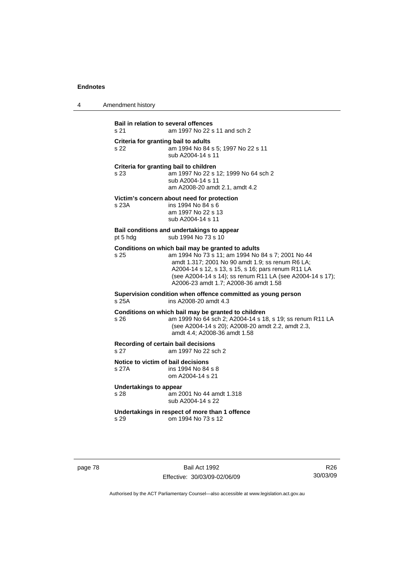4 Amendment history

**Bail in relation to several offences** s 21 am 1997 No 22 s 11 and sch 2 **Criteria for granting bail to adults** s 22 am 1994 No 84 s 5; 1997 No 22 s 11 sub A2004-14 s 11 **Criteria for granting bail to children** s 23 am 1997 No 22 s 12; 1999 No 64 sch 2 sub A2004-14 s 11 am A2008-20 amdt 2.1, amdt 4.2 **Victim's concern about need for protection** s 23A ins 1994 No 84 s 6 am 1997 No 22 s 13 sub A2004-14 s 11 **Bail conditions and undertakings to appear** pt 5 hdg sub 1994 No 73 s 10 **Conditions on which bail may be granted to adults** s 25 am 1994 No 73 s 11; am 1994 No 84 s 7; 2001 No 44 amdt 1.317; 2001 No 90 amdt 1.9; ss renum R6 LA; A2004-14 s 12, s 13, s 15, s 16; pars renum R11 LA (see A2004-14 s 14); ss renum R11 LA (see A2004-14 s 17); A2006-23 amdt 1.7; A2008-36 amdt 1.58 **Supervision condition when offence committed as young person**  ins A2008-20 amdt 4.3 **Conditions on which bail may be granted to children** s 26 am 1999 No 64 sch 2; A2004-14 s 18, s 19; ss renum R11 LA (see A2004-14 s 20); A2008-20 amdt 2.2, amdt 2.3, amdt 4.4; A2008-36 amdt 1.58 **Recording of certain bail decisions** s 27 am 1997 No 22 sch 2 **Notice to victim of bail decisions** s 27A ins 1994 No 84 s 8 om A2004-14 s 21 **Undertakings to appear**<br>s 28 am 20 am 2001 No 44 amdt 1.318 sub A2004-14 s 22 **Undertakings in respect of more than 1 offence**  s 29 om 1994 No 73 s 12

page 78 Bail Act 1992 Effective: 30/03/09-02/06/09

R26 30/03/09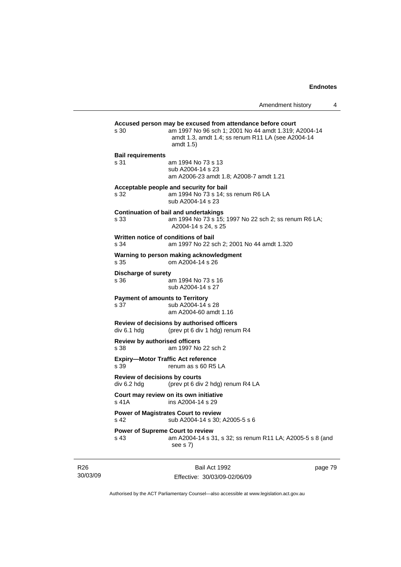|                                                                                             | Amendment history                                                                                                                                                                    | 4 |  |  |
|---------------------------------------------------------------------------------------------|--------------------------------------------------------------------------------------------------------------------------------------------------------------------------------------|---|--|--|
| s 30                                                                                        | Accused person may be excused from attendance before court<br>am 1997 No 96 sch 1; 2001 No 44 amdt 1.319; A2004-14<br>amdt 1.3, amdt 1.4; ss renum R11 LA (see A2004-14<br>amdt 1.5) |   |  |  |
| <b>Bail requirements</b><br>s 31                                                            | am 1994 No 73 s 13<br>sub A2004-14 s 23<br>am A2006-23 amdt 1.8; A2008-7 amdt 1.21                                                                                                   |   |  |  |
| s 32                                                                                        | Acceptable people and security for bail<br>am 1994 No 73 s 14; ss renum R6 LA<br>sub A2004-14 s 23                                                                                   |   |  |  |
| s 33                                                                                        | <b>Continuation of bail and undertakings</b><br>am 1994 No 73 s 15; 1997 No 22 sch 2; ss renum R6 LA;<br>A2004-14 s 24, s 25                                                         |   |  |  |
| Written notice of conditions of bail<br>s 34                                                | am 1997 No 22 sch 2; 2001 No 44 amdt 1.320                                                                                                                                           |   |  |  |
| s 35                                                                                        | Warning to person making acknowledgment<br>om A2004-14 s 26                                                                                                                          |   |  |  |
| Discharge of surety<br>s 36                                                                 | am 1994 No 73 s 16<br>sub A2004-14 s 27                                                                                                                                              |   |  |  |
| <b>Payment of amounts to Territory</b><br>s 37                                              | sub A2004-14 s 28<br>am A2004-60 amdt 1.16                                                                                                                                           |   |  |  |
| Review of decisions by authorised officers<br>div 6.1 hdg<br>(prev pt 6 div 1 hdg) renum R4 |                                                                                                                                                                                      |   |  |  |
| <b>Review by authorised officers</b><br>s 38                                                | am 1997 No 22 sch 2                                                                                                                                                                  |   |  |  |
| <b>Expiry-Motor Traffic Act reference</b><br>s 39                                           | renum as s 60 R5 LA                                                                                                                                                                  |   |  |  |
| Review of decisions by courts<br>div 6.2 hdg<br>(prev pt 6 div 2 hdg) renum R4 LA           |                                                                                                                                                                                      |   |  |  |
| s 41A ins A2004-14 s 29                                                                     | Court may review on its own initiative                                                                                                                                               |   |  |  |
| <b>Power of Magistrates Court to review</b><br>s 42<br>sub A2004-14 s 30; A2005-5 s 6       |                                                                                                                                                                                      |   |  |  |
| <b>Power of Supreme Court to review</b><br>s 43                                             | am A2004-14 s 31, s 32; ss renum R11 LA; A2005-5 s 8 (and<br>see $s$ 7)                                                                                                              |   |  |  |

R26 30/03/09

Bail Act 1992 Effective: 30/03/09-02/06/09 page 79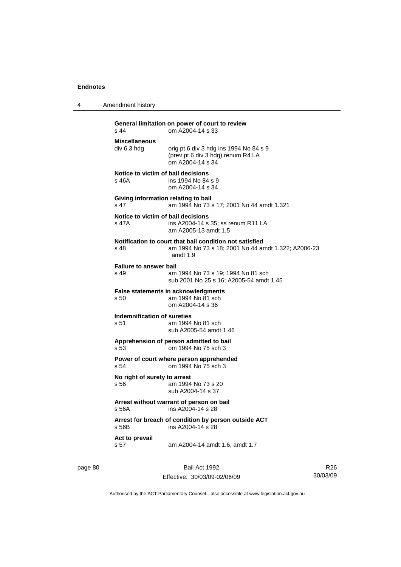4 Amendment history

| $s$ 44                                      | General limitation on power of court to review<br>om A2004-14 s 33                                                           |
|---------------------------------------------|------------------------------------------------------------------------------------------------------------------------------|
| <b>Miscellaneous</b><br>div 6.3 hdg         | orig pt 6 div 3 hdg ins 1994 No 84 s 9<br>(prev pt 6 div 3 hdg) renum R4 LA<br>om A2004-14 s 34                              |
| Notice to victim of bail decisions<br>s 46A | ins 1994 No 84 s 9<br>om A2004-14 s 34                                                                                       |
| s 47                                        | Giving information relating to bail<br>am 1994 No 73 s 17; 2001 No 44 amdt 1.321                                             |
| Notice to victim of bail decisions<br>s 47A | ins A2004-14 s 35; ss renum R11 LA<br>am A2005-13 amdt 1.5                                                                   |
| $s$ 48                                      | Notification to court that bail condition not satisfied<br>am 1994 No 73 s 18; 2001 No 44 amdt 1.322; A2006-23<br>amdt $1.9$ |
| <b>Failure to answer bail</b><br>s 49       | am 1994 No 73 s 19; 1994 No 81 sch<br>sub 2001 No 25 s 16: A2005-54 amdt 1.45                                                |
| s 50                                        | <b>False statements in acknowledgments</b><br>am 1994 No 81 sch<br>om A2004-14 s 36                                          |
| Indemnification of sureties<br>s 51         | am 1994 No 81 sch<br>sub A2005-54 amdt 1.46                                                                                  |
| s 53                                        | Apprehension of person admitted to bail<br>om 1994 No 75 sch 3                                                               |
| s <sub>54</sub>                             | Power of court where person apprehended<br>om 1994 No 75 sch 3                                                               |
| No right of surety to arrest<br>s 56        | am 1994 No 73 s 20<br>sub A2004-14 s 37                                                                                      |
| s.56A                                       | Arrest without warrant of person on bail<br>ins A2004-14 s 28                                                                |
| s 56B                                       | Arrest for breach of condition by person outside ACT<br>ins A2004-14 s 28                                                    |
| Act to prevail<br>s 57                      | am A2004-14 amdt 1.6, amdt 1.7                                                                                               |

page 80 Bail Act 1992

Effective: 30/03/09-02/06/09

R26 30/03/09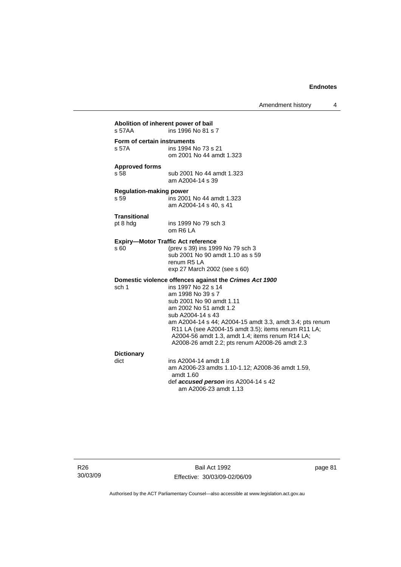Amendment history 4

| s 57AA                                 | Abolition of inherent power of bail<br>ins 1996 No 81 s 7                                                                                                                                                                                                                                                                                                                                              |
|----------------------------------------|--------------------------------------------------------------------------------------------------------------------------------------------------------------------------------------------------------------------------------------------------------------------------------------------------------------------------------------------------------------------------------------------------------|
| Form of certain instruments<br>s 57A   | ins 1994 No 73 s 21<br>om 2001 No 44 amdt 1.323                                                                                                                                                                                                                                                                                                                                                        |
| <b>Approved forms</b><br>s 58          | sub 2001 No 44 amdt 1.323<br>am A2004-14 s 39                                                                                                                                                                                                                                                                                                                                                          |
| <b>Regulation-making power</b><br>s 59 | ins 2001 No 44 amdt 1.323<br>am A2004-14 s 40, s 41                                                                                                                                                                                                                                                                                                                                                    |
| <b>Transitional</b><br>pt 8 hdg        | ins 1999 No 79 sch 3<br>om R6 LA                                                                                                                                                                                                                                                                                                                                                                       |
| s60                                    | <b>Expiry-Motor Traffic Act reference</b><br>(prev s 39) ins 1999 No 79 sch 3<br>sub 2001 No 90 amdt 1.10 as s 59<br>renum R <sub>5</sub> LA<br>exp 27 March 2002 (see s 60)                                                                                                                                                                                                                           |
| sch 1                                  | Domestic violence offences against the Crimes Act 1900<br>ins 1997 No 22 s 14<br>am 1998 No 39 s 7<br>sub 2001 No 90 amdt 1.11<br>am 2002 No 51 amdt 1.2<br>sub A2004-14 s 43<br>am A2004-14 s 44; A2004-15 amdt 3.3, amdt 3.4; pts renum<br>R11 LA (see A2004-15 amdt 3.5); items renum R11 LA;<br>A2004-56 amdt 1.3, amdt 1.4; items renum R14 LA;<br>A2008-26 amdt 2.2; pts renum A2008-26 amdt 2.3 |
| <b>Dictionary</b><br>dict              | ins A2004-14 amdt 1.8<br>am A2006-23 amdts 1.10-1.12; A2008-36 amdt 1.59,<br>amdt 1.60<br>def accused person ins A2004-14 s 42<br>am A2006-23 amdt 1.13                                                                                                                                                                                                                                                |

R26 30/03/09

Bail Act 1992 Effective: 30/03/09-02/06/09 page 81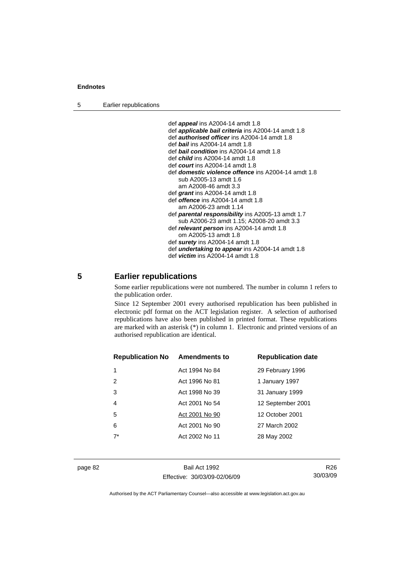5 Earlier republications

 def *appeal* ins A2004-14 amdt 1.8 def *applicable bail criteria* ins A2004-14 amdt 1.8 def *authorised officer* ins A2004-14 amdt 1.8 def *bail* ins A2004-14 amdt 1.8 def *bail condition* ins A2004-14 amdt 1.8 def *child* ins A2004-14 amdt 1.8 def *court* ins A2004-14 amdt 1.8 def *domestic violence offence* ins A2004-14 amdt 1.8 sub A2005-13 amdt 1.6 am A2008-46 amdt 3.3 def *grant* ins A2004-14 amdt 1.8 def *offence* ins A2004-14 amdt 1.8 am A2006-23 amdt 1.14 def *parental responsibility* ins A2005-13 amdt 1.7 sub A2006-23 amdt 1.15; A2008-20 amdt 3.3 def *relevant person* ins A2004-14 amdt 1.8 om A2005-13 amdt 1.8 def *surety* ins A2004-14 amdt 1.8 def *undertaking to appear* ins A2004-14 amdt 1.8 def *victim* ins A2004-14 amdt 1.8

# **5 Earlier republications**

Some earlier republications were not numbered. The number in column 1 refers to the publication order.

Since 12 September 2001 every authorised republication has been published in electronic pdf format on the ACT legislation register. A selection of authorised republications have also been published in printed format. These republications are marked with an asterisk (\*) in column 1. Electronic and printed versions of an authorised republication are identical.

| <b>Republication No Amendments to</b> |                | <b>Republication date</b> |
|---------------------------------------|----------------|---------------------------|
|                                       | Act 1994 No 84 | 29 February 1996          |
| 2                                     | Act 1996 No 81 | 1 January 1997            |
| 3                                     | Act 1998 No 39 | 31 January 1999           |
| 4                                     | Act 2001 No 54 | 12 September 2001         |
| 5                                     | Act 2001 No 90 | 12 October 2001           |
| 6                                     | Act 2001 No 90 | 27 March 2002             |
| $7^*$                                 | Act 2002 No 11 | 28 May 2002               |
|                                       |                |                           |

page 82 Bail Act 1992 Effective: 30/03/09-02/06/09

R26 30/03/09